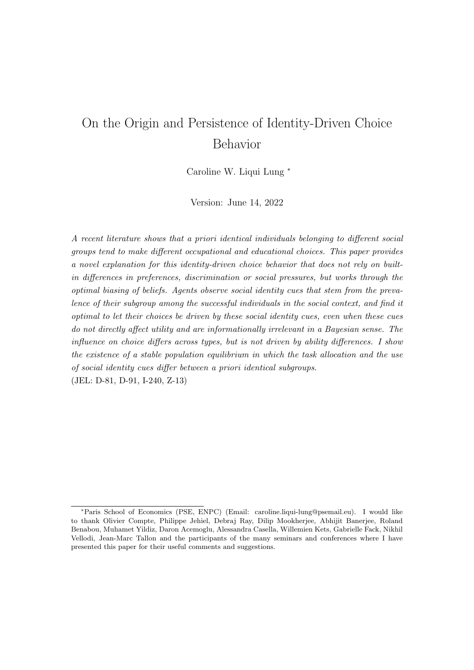# On the Origin and Persistence of Identity-Driven Choice Behavior

Caroline W. Liqui Lung <sup>∗</sup>

Version: June 14, 2022

A recent literature shows that a priori identical individuals belonging to different social groups tend to make different occupational and educational choices. This paper provides a novel explanation for this identity-driven choice behavior that does not rely on builtin differences in preferences, discrimination or social pressures, but works through the optimal biasing of beliefs. Agents observe social identity cues that stem from the prevalence of their subgroup among the successful individuals in the social context, and find it optimal to let their choices be driven by these social identity cues, even when these cues do not directly affect utility and are informationally irrelevant in a Bayesian sense. The influence on choice differs across types, but is not driven by ability differences. I show the existence of a stable population equilibrium in which the task allocation and the use of social identity cues differ between a priori identical subgroups. (JEL: D-81, D-91, I-240, Z-13)

<sup>∗</sup>Paris School of Economics (PSE, ENPC) (Email: caroline.liqui-lung@psemail.eu). I would like to thank Olivier Compte, Philippe Jehiel, Debraj Ray, Dilip Mookherjee, Abhijit Banerjee, Roland Benabou, Muhamet Yildiz, Daron Acemoglu, Alessandra Casella, Willemien Kets, Gabrielle Fack, Nikhil Vellodi, Jean-Marc Tallon and the participants of the many seminars and conferences where I have presented this paper for their useful comments and suggestions.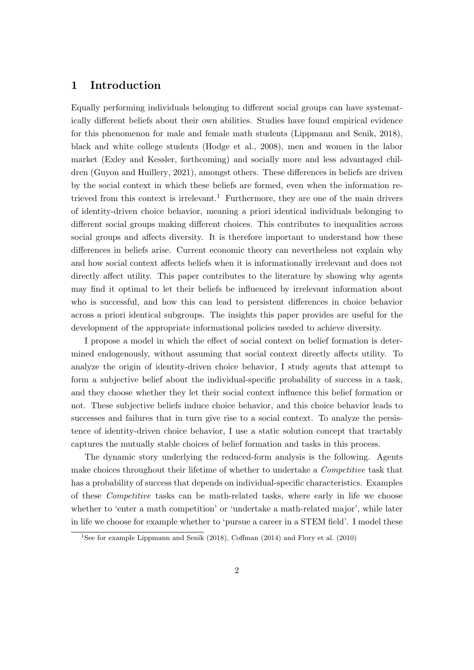# 1 Introduction

Equally performing individuals belonging to different social groups can have systematically different beliefs about their own abilities. Studies have found empirical evidence for this phenomenon for male and female math students (Lippmann and Senik, 2018), black and white college students (Hodge et al., 2008), men and women in the labor market (Exley and Kessler, forthcoming) and socially more and less advantaged children (Guyon and Huillery, 2021), amongst others. These differences in beliefs are driven by the social context in which these beliefs are formed, even when the information retrieved from this context is irrelevant.<sup>1</sup> Furthermore, they are one of the main drivers of identity-driven choice behavior, meaning a priori identical individuals belonging to different social groups making different choices. This contributes to inequalities across social groups and affects diversity. It is therefore important to understand how these differences in beliefs arise. Current economic theory can nevertheless not explain why and how social context affects beliefs when it is informationally irrelevant and does not directly affect utility. This paper contributes to the literature by showing why agents may find it optimal to let their beliefs be influenced by irrelevant information about who is successful, and how this can lead to persistent differences in choice behavior across a priori identical subgroups. The insights this paper provides are useful for the development of the appropriate informational policies needed to achieve diversity.

I propose a model in which the effect of social context on belief formation is determined endogenously, without assuming that social context directly affects utility. To analyze the origin of identity-driven choice behavior, I study agents that attempt to form a subjective belief about the individual-specific probability of success in a task, and they choose whether they let their social context influence this belief formation or not. These subjective beliefs induce choice behavior, and this choice behavior leads to successes and failures that in turn give rise to a social context. To analyze the persistence of identity-driven choice behavior, I use a static solution concept that tractably captures the mutually stable choices of belief formation and tasks in this process.

The dynamic story underlying the reduced-form analysis is the following. Agents make choices throughout their lifetime of whether to undertake a *Competitive* task that has a probability of success that depends on individual-specific characteristics. Examples of these Competitive tasks can be math-related tasks, where early in life we choose whether to 'enter a math competition' or 'undertake a math-related major', while later in life we choose for example whether to 'pursue a career in a STEM field'. I model these

<sup>&</sup>lt;sup>1</sup>See for example Lippmann and Senik (2018), Coffman (2014) and Flory et al. (2010)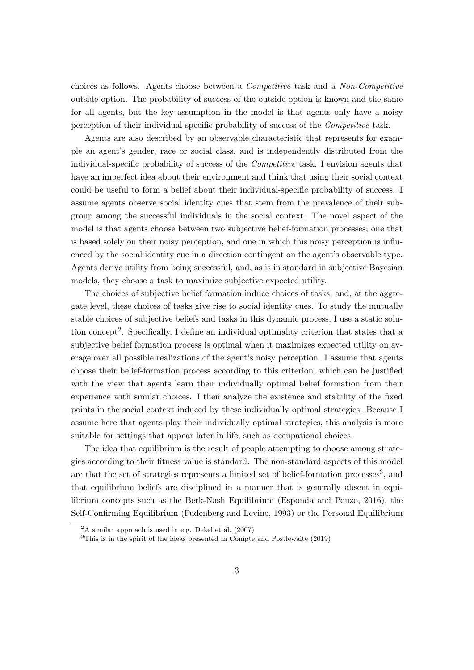choices as follows. Agents choose between a Competitive task and a Non-Competitive outside option. The probability of success of the outside option is known and the same for all agents, but the key assumption in the model is that agents only have a noisy perception of their individual-specific probability of success of the Competitive task.

Agents are also described by an observable characteristic that represents for example an agent's gender, race or social class, and is independently distributed from the individual-specific probability of success of the Competitive task. I envision agents that have an imperfect idea about their environment and think that using their social context could be useful to form a belief about their individual-specific probability of success. I assume agents observe social identity cues that stem from the prevalence of their subgroup among the successful individuals in the social context. The novel aspect of the model is that agents choose between two subjective belief-formation processes; one that is based solely on their noisy perception, and one in which this noisy perception is influenced by the social identity cue in a direction contingent on the agent's observable type. Agents derive utility from being successful, and, as is in standard in subjective Bayesian models, they choose a task to maximize subjective expected utility.

The choices of subjective belief formation induce choices of tasks, and, at the aggregate level, these choices of tasks give rise to social identity cues. To study the mutually stable choices of subjective beliefs and tasks in this dynamic process, I use a static solution concept<sup>2</sup>. Specifically, I define an individual optimality criterion that states that a subjective belief formation process is optimal when it maximizes expected utility on average over all possible realizations of the agent's noisy perception. I assume that agents choose their belief-formation process according to this criterion, which can be justified with the view that agents learn their individually optimal belief formation from their experience with similar choices. I then analyze the existence and stability of the fixed points in the social context induced by these individually optimal strategies. Because I assume here that agents play their individually optimal strategies, this analysis is more suitable for settings that appear later in life, such as occupational choices.

The idea that equilibrium is the result of people attempting to choose among strategies according to their fitness value is standard. The non-standard aspects of this model are that the set of strategies represents a limited set of belief-formation processes<sup>3</sup>, and that equilibrium beliefs are disciplined in a manner that is generally absent in equilibrium concepts such as the Berk-Nash Equilibrium (Esponda and Pouzo, 2016), the Self-Confirming Equilibrium (Fudenberg and Levine, 1993) or the Personal Equilibrium

 $2A \text{ similar approach is used in e.g. Dekel et al. } (2007)$ 

<sup>3</sup>This is in the spirit of the ideas presented in Compte and Postlewaite (2019)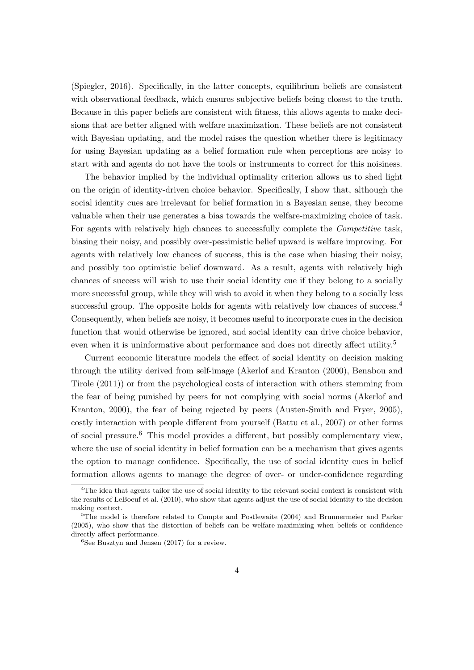(Spiegler, 2016). Specifically, in the latter concepts, equilibrium beliefs are consistent with observational feedback, which ensures subjective beliefs being closest to the truth. Because in this paper beliefs are consistent with fitness, this allows agents to make decisions that are better aligned with welfare maximization. These beliefs are not consistent with Bayesian updating, and the model raises the question whether there is legitimacy for using Bayesian updating as a belief formation rule when perceptions are noisy to start with and agents do not have the tools or instruments to correct for this noisiness.

The behavior implied by the individual optimality criterion allows us to shed light on the origin of identity-driven choice behavior. Specifically, I show that, although the social identity cues are irrelevant for belief formation in a Bayesian sense, they become valuable when their use generates a bias towards the welfare-maximizing choice of task. For agents with relatively high chances to successfully complete the *Competitive* task, biasing their noisy, and possibly over-pessimistic belief upward is welfare improving. For agents with relatively low chances of success, this is the case when biasing their noisy, and possibly too optimistic belief downward. As a result, agents with relatively high chances of success will wish to use their social identity cue if they belong to a socially more successful group, while they will wish to avoid it when they belong to a socially less successful group. The opposite holds for agents with relatively low chances of success.<sup>4</sup> Consequently, when beliefs are noisy, it becomes useful to incorporate cues in the decision function that would otherwise be ignored, and social identity can drive choice behavior, even when it is uninformative about performance and does not directly affect utility.<sup>5</sup>

Current economic literature models the effect of social identity on decision making through the utility derived from self-image (Akerlof and Kranton (2000), Benabou and Tirole (2011)) or from the psychological costs of interaction with others stemming from the fear of being punished by peers for not complying with social norms (Akerlof and Kranton, 2000), the fear of being rejected by peers (Austen-Smith and Fryer, 2005), costly interaction with people different from yourself (Battu et al., 2007) or other forms of social pressure.<sup>6</sup> This model provides a different, but possibly complementary view, where the use of social identity in belief formation can be a mechanism that gives agents the option to manage confidence. Specifically, the use of social identity cues in belief formation allows agents to manage the degree of over- or under-confidence regarding

<sup>&</sup>lt;sup>4</sup>The idea that agents tailor the use of social identity to the relevant social context is consistent with the results of LeBoeuf et al. (2010), who show that agents adjust the use of social identity to the decision making context.

<sup>5</sup>The model is therefore related to Compte and Postlewaite (2004) and Brunnermeier and Parker (2005), who show that the distortion of beliefs can be welfare-maximizing when beliefs or confidence directly affect performance.

 ${}^{6}$ See Busztyn and Jensen (2017) for a review.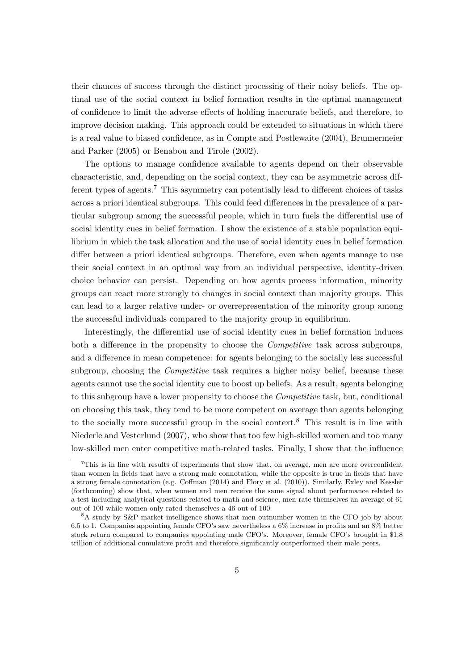their chances of success through the distinct processing of their noisy beliefs. The optimal use of the social context in belief formation results in the optimal management of confidence to limit the adverse effects of holding inaccurate beliefs, and therefore, to improve decision making. This approach could be extended to situations in which there is a real value to biased confidence, as in Compte and Postlewaite (2004), Brunnermeier and Parker (2005) or Benabou and Tirole (2002).

The options to manage confidence available to agents depend on their observable characteristic, and, depending on the social context, they can be asymmetric across different types of agents.<sup>7</sup> This asymmetry can potentially lead to different choices of tasks across a priori identical subgroups. This could feed differences in the prevalence of a particular subgroup among the successful people, which in turn fuels the differential use of social identity cues in belief formation. I show the existence of a stable population equilibrium in which the task allocation and the use of social identity cues in belief formation differ between a priori identical subgroups. Therefore, even when agents manage to use their social context in an optimal way from an individual perspective, identity-driven choice behavior can persist. Depending on how agents process information, minority groups can react more strongly to changes in social context than majority groups. This can lead to a larger relative under- or overrepresentation of the minority group among the successful individuals compared to the majority group in equilibrium.

Interestingly, the differential use of social identity cues in belief formation induces both a difference in the propensity to choose the *Competitive* task across subgroups, and a difference in mean competence: for agents belonging to the socially less successful subgroup, choosing the *Competitive* task requires a higher noisy belief, because these agents cannot use the social identity cue to boost up beliefs. As a result, agents belonging to this subgroup have a lower propensity to choose the Competitive task, but, conditional on choosing this task, they tend to be more competent on average than agents belonging to the socially more successful group in the social context.<sup>8</sup> This result is in line with Niederle and Vesterlund (2007), who show that too few high-skilled women and too many low-skilled men enter competitive math-related tasks. Finally, I show that the influence

<sup>7</sup>This is in line with results of experiments that show that, on average, men are more overconfident than women in fields that have a strong male connotation, while the opposite is true in fields that have a strong female connotation (e.g. Coffman (2014) and Flory et al. (2010)). Similarly, Exley and Kessler (forthcoming) show that, when women and men receive the same signal about performance related to a test including analytical questions related to math and science, men rate themselves an average of 61 out of 100 while women only rated themselves a 46 out of 100.

<sup>8</sup>A study by S&P market intelligence shows that men outnumber women in the CFO job by about 6.5 to 1. Companies appointing female CFO's saw nevertheless a 6% increase in profits and an 8% better stock return compared to companies appointing male CFO's. Moreover, female CFO's brought in \$1.8 trillion of additional cumulative profit and therefore significantly outperformed their male peers.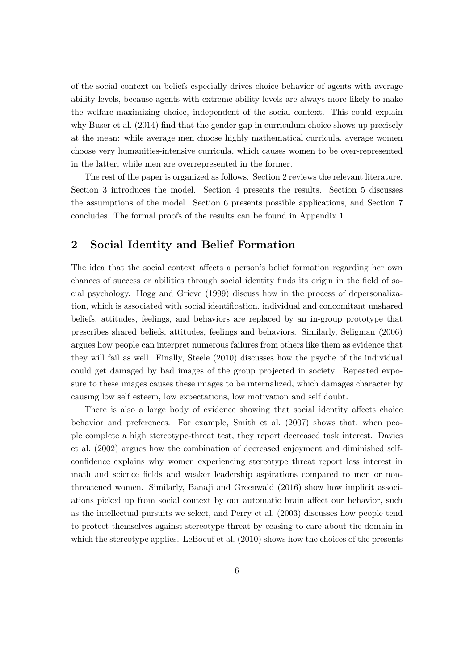of the social context on beliefs especially drives choice behavior of agents with average ability levels, because agents with extreme ability levels are always more likely to make the welfare-maximizing choice, independent of the social context. This could explain why Buser et al. (2014) find that the gender gap in curriculum choice shows up precisely at the mean: while average men choose highly mathematical curricula, average women choose very humanities-intensive curricula, which causes women to be over-represented in the latter, while men are overrepresented in the former.

The rest of the paper is organized as follows. Section 2 reviews the relevant literature. Section 3 introduces the model. Section 4 presents the results. Section 5 discusses the assumptions of the model. Section 6 presents possible applications, and Section 7 concludes. The formal proofs of the results can be found in Appendix 1.

# 2 Social Identity and Belief Formation

The idea that the social context affects a person's belief formation regarding her own chances of success or abilities through social identity finds its origin in the field of social psychology. Hogg and Grieve (1999) discuss how in the process of depersonalization, which is associated with social identification, individual and concomitant unshared beliefs, attitudes, feelings, and behaviors are replaced by an in-group prototype that prescribes shared beliefs, attitudes, feelings and behaviors. Similarly, Seligman (2006) argues how people can interpret numerous failures from others like them as evidence that they will fail as well. Finally, Steele (2010) discusses how the psyche of the individual could get damaged by bad images of the group projected in society. Repeated exposure to these images causes these images to be internalized, which damages character by causing low self esteem, low expectations, low motivation and self doubt.

There is also a large body of evidence showing that social identity affects choice behavior and preferences. For example, Smith et al. (2007) shows that, when people complete a high stereotype-threat test, they report decreased task interest. Davies et al. (2002) argues how the combination of decreased enjoyment and diminished selfconfidence explains why women experiencing stereotype threat report less interest in math and science fields and weaker leadership aspirations compared to men or nonthreatened women. Similarly, Banaji and Greenwald (2016) show how implicit associations picked up from social context by our automatic brain affect our behavior, such as the intellectual pursuits we select, and Perry et al. (2003) discusses how people tend to protect themselves against stereotype threat by ceasing to care about the domain in which the stereotype applies. LeBoeuf et al.  $(2010)$  shows how the choices of the presents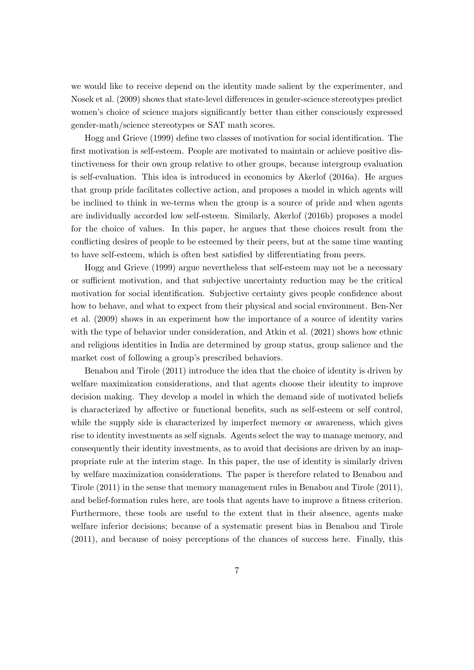we would like to receive depend on the identity made salient by the experimenter, and Nosek et al. (2009) shows that state-level differences in gender-science stereotypes predict women's choice of science majors significantly better than either consciously expressed gender-math/science stereotypes or SAT math scores.

Hogg and Grieve (1999) define two classes of motivation for social identification. The first motivation is self-esteem. People are motivated to maintain or achieve positive distinctiveness for their own group relative to other groups, because intergroup evaluation is self-evaluation. This idea is introduced in economics by Akerlof (2016a). He argues that group pride facilitates collective action, and proposes a model in which agents will be inclined to think in we-terms when the group is a source of pride and when agents are individually accorded low self-esteem. Similarly, Akerlof (2016b) proposes a model for the choice of values. In this paper, he argues that these choices result from the conflicting desires of people to be esteemed by their peers, but at the same time wanting to have self-esteem, which is often best satisfied by differentiating from peers.

Hogg and Grieve (1999) argue nevertheless that self-esteem may not be a necessary or sufficient motivation, and that subjective uncertainty reduction may be the critical motivation for social identification. Subjective certainty gives people confidence about how to behave, and what to expect from their physical and social environment. Ben-Ner et al. (2009) shows in an experiment how the importance of a source of identity varies with the type of behavior under consideration, and Atkin et al. (2021) shows how ethnic and religious identities in India are determined by group status, group salience and the market cost of following a group's prescribed behaviors.

Benabou and Tirole (2011) introduce the idea that the choice of identity is driven by welfare maximization considerations, and that agents choose their identity to improve decision making. They develop a model in which the demand side of motivated beliefs is characterized by affective or functional benefits, such as self-esteem or self control, while the supply side is characterized by imperfect memory or awareness, which gives rise to identity investments as self signals. Agents select the way to manage memory, and consequently their identity investments, as to avoid that decisions are driven by an inappropriate rule at the interim stage. In this paper, the use of identity is similarly driven by welfare maximization considerations. The paper is therefore related to Benabou and Tirole (2011) in the sense that memory management rules in Benabou and Tirole (2011), and belief-formation rules here, are tools that agents have to improve a fitness criterion. Furthermore, these tools are useful to the extent that in their absence, agents make welfare inferior decisions; because of a systematic present bias in Benabou and Tirole (2011), and because of noisy perceptions of the chances of success here. Finally, this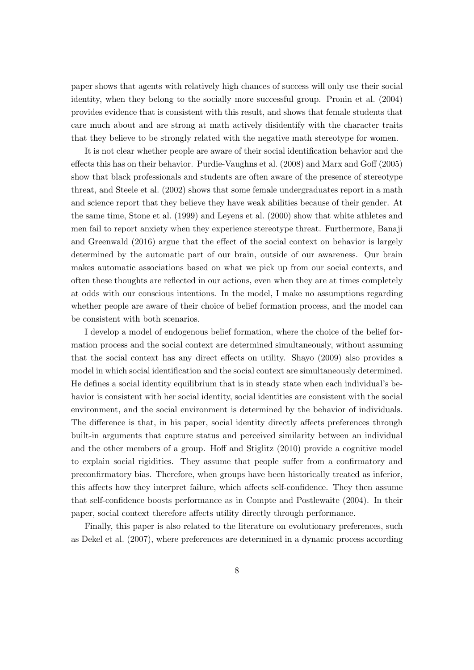paper shows that agents with relatively high chances of success will only use their social identity, when they belong to the socially more successful group. Pronin et al. (2004) provides evidence that is consistent with this result, and shows that female students that care much about and are strong at math actively disidentify with the character traits that they believe to be strongly related with the negative math stereotype for women.

It is not clear whether people are aware of their social identification behavior and the effects this has on their behavior. Purdie-Vaughns et al. (2008) and Marx and Goff (2005) show that black professionals and students are often aware of the presence of stereotype threat, and Steele et al. (2002) shows that some female undergraduates report in a math and science report that they believe they have weak abilities because of their gender. At the same time, Stone et al. (1999) and Leyens et al. (2000) show that white athletes and men fail to report anxiety when they experience stereotype threat. Furthermore, Banaji and Greenwald (2016) argue that the effect of the social context on behavior is largely determined by the automatic part of our brain, outside of our awareness. Our brain makes automatic associations based on what we pick up from our social contexts, and often these thoughts are reflected in our actions, even when they are at times completely at odds with our conscious intentions. In the model, I make no assumptions regarding whether people are aware of their choice of belief formation process, and the model can be consistent with both scenarios.

I develop a model of endogenous belief formation, where the choice of the belief formation process and the social context are determined simultaneously, without assuming that the social context has any direct effects on utility. Shayo (2009) also provides a model in which social identification and the social context are simultaneously determined. He defines a social identity equilibrium that is in steady state when each individual's behavior is consistent with her social identity, social identities are consistent with the social environment, and the social environment is determined by the behavior of individuals. The difference is that, in his paper, social identity directly affects preferences through built-in arguments that capture status and perceived similarity between an individual and the other members of a group. Hoff and Stiglitz (2010) provide a cognitive model to explain social rigidities. They assume that people suffer from a confirmatory and preconfirmatory bias. Therefore, when groups have been historically treated as inferior, this affects how they interpret failure, which affects self-confidence. They then assume that self-confidence boosts performance as in Compte and Postlewaite (2004). In their paper, social context therefore affects utility directly through performance.

Finally, this paper is also related to the literature on evolutionary preferences, such as Dekel et al. (2007), where preferences are determined in a dynamic process according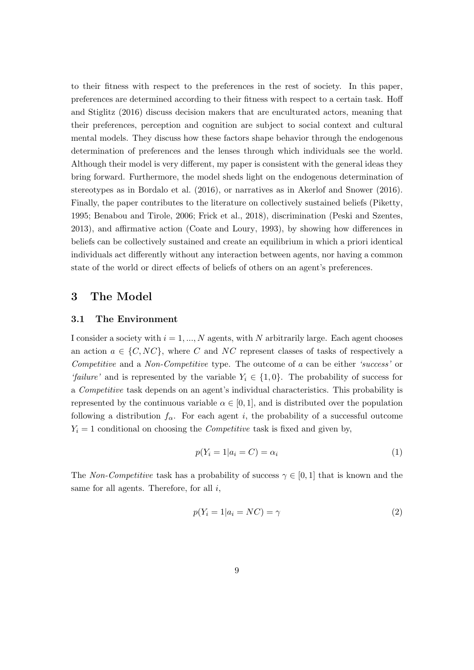to their fitness with respect to the preferences in the rest of society. In this paper, preferences are determined according to their fitness with respect to a certain task. Hoff and Stiglitz (2016) discuss decision makers that are enculturated actors, meaning that their preferences, perception and cognition are subject to social context and cultural mental models. They discuss how these factors shape behavior through the endogenous determination of preferences and the lenses through which individuals see the world. Although their model is very different, my paper is consistent with the general ideas they bring forward. Furthermore, the model sheds light on the endogenous determination of stereotypes as in Bordalo et al. (2016), or narratives as in Akerlof and Snower (2016). Finally, the paper contributes to the literature on collectively sustained beliefs (Piketty, 1995; Benabou and Tirole, 2006; Frick et al., 2018), discrimination (Peski and Szentes, 2013), and affirmative action (Coate and Loury, 1993), by showing how differences in beliefs can be collectively sustained and create an equilibrium in which a priori identical individuals act differently without any interaction between agents, nor having a common state of the world or direct effects of beliefs of others on an agent's preferences.

# 3 The Model

### 3.1 The Environment

I consider a society with  $i = 1, ..., N$  agents, with N arbitrarily large. Each agent chooses an action  $a \in \{C, NC\}$ , where C and NC represent classes of tasks of respectively a Competitive and a *Non-Competitive* type. The outcome of a can be either 'success' or 'failure' and is represented by the variable  $Y_i \in \{1,0\}$ . The probability of success for a Competitive task depends on an agent's individual characteristics. This probability is represented by the continuous variable  $\alpha \in [0,1]$ , and is distributed over the population following a distribution  $f_{\alpha}$ . For each agent i, the probability of a successful outcome  $Y_i = 1$  conditional on choosing the *Competitive* task is fixed and given by,

$$
p(Y_i = 1 | a_i = C) = \alpha_i \tag{1}
$$

The Non-Competitive task has a probability of success  $\gamma \in [0,1]$  that is known and the same for all agents. Therefore, for all  $i$ ,

$$
p(Y_i = 1 | a_i = NC) = \gamma \tag{2}
$$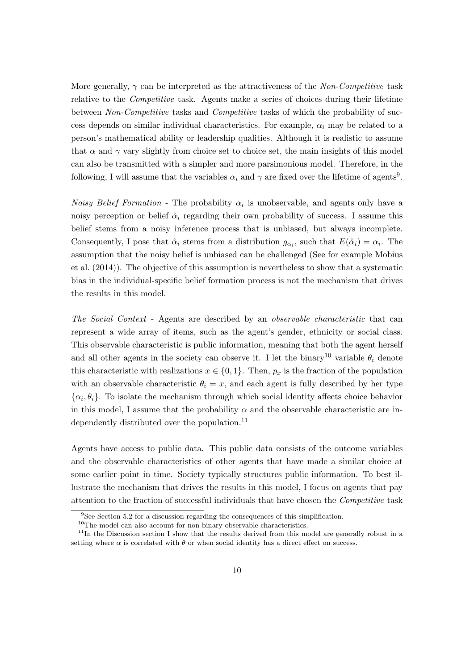More generally,  $\gamma$  can be interpreted as the attractiveness of the Non-Competitive task relative to the Competitive task. Agents make a series of choices during their lifetime between Non-Competitive tasks and Competitive tasks of which the probability of success depends on similar individual characteristics. For example,  $\alpha_i$  may be related to a person's mathematical ability or leadership qualities. Although it is realistic to assume that  $\alpha$  and  $\gamma$  vary slightly from choice set to choice set, the main insights of this model can also be transmitted with a simpler and more parsimonious model. Therefore, in the following, I will assume that the variables  $\alpha_i$  and  $\gamma$  are fixed over the lifetime of agents<sup>9</sup>.

*Noisy Belief Formation* - The probability  $\alpha_i$  is unobservable, and agents only have a noisy perception or belief  $\hat{\alpha}_i$  regarding their own probability of success. I assume this belief stems from a noisy inference process that is unbiased, but always incomplete. Consequently, I pose that  $\hat{\alpha}_i$  stems from a distribution  $g_{\alpha_i}$ , such that  $E(\hat{\alpha}_i) = \alpha_i$ . The assumption that the noisy belief is unbiased can be challenged (See for example Mobius et al. (2014)). The objective of this assumption is nevertheless to show that a systematic bias in the individual-specific belief formation process is not the mechanism that drives the results in this model.

The Social Context - Agents are described by an observable characteristic that can represent a wide array of items, such as the agent's gender, ethnicity or social class. This observable characteristic is public information, meaning that both the agent herself and all other agents in the society can observe it. I let the binary<sup>10</sup> variable  $\theta_i$  denote this characteristic with realizations  $x \in \{0, 1\}$ . Then,  $p_x$  is the fraction of the population with an observable characteristic  $\theta_i = x$ , and each agent is fully described by her type  $\{\alpha_i, \theta_i\}$ . To isolate the mechanism through which social identity affects choice behavior in this model, I assume that the probability  $\alpha$  and the observable characteristic are independently distributed over the population. $^{11}$ 

Agents have access to public data. This public data consists of the outcome variables and the observable characteristics of other agents that have made a similar choice at some earlier point in time. Society typically structures public information. To best illustrate the mechanism that drives the results in this model, I focus on agents that pay attention to the fraction of successful individuals that have chosen the Competitive task

<sup>&</sup>lt;sup>9</sup>See Section 5.2 for a discussion regarding the consequences of this simplification.

 $10$ The model can also account for non-binary observable characteristics.

 $11$ In the Discussion section I show that the results derived from this model are generally robust in a setting where  $\alpha$  is correlated with  $\theta$  or when social identity has a direct effect on success.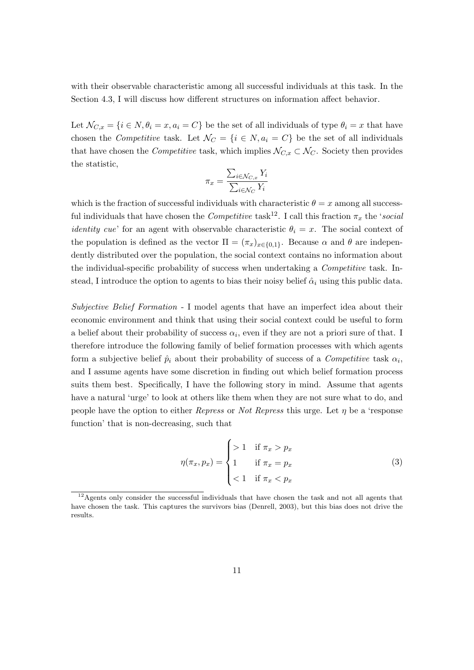with their observable characteristic among all successful individuals at this task. In the Section 4.3, I will discuss how different structures on information affect behavior.

Let  $\mathcal{N}_{C,x} = \{i \in \mathbb{N}, \theta_i = x, a_i = C\}$  be the set of all individuals of type  $\theta_i = x$  that have chosen the Competitive task. Let  $\mathcal{N}_C = \{i \in \mathbb{N}, a_i = C\}$  be the set of all individuals that have chosen the *Competitive* task, which implies  $\mathcal{N}_{C,x} \subset \mathcal{N}_C$ . Society then provides the statistic,

$$
\pi_x = \frac{\sum_{i \in \mathcal{N}_{C,x}} Y_i}{\sum_{i \in \mathcal{N}_C} Y_i}
$$

which is the fraction of successful individuals with characteristic  $\theta = x$  among all successful individuals that have chosen the *Competitive* task<sup>12</sup>. I call this fraction  $\pi_x$  the 'social *identity cue'* for an agent with observable characteristic  $\theta_i = x$ . The social context of the population is defined as the vector  $\Pi = (\pi_x)_{x \in \{0,1\}}$ . Because  $\alpha$  and  $\theta$  are independently distributed over the population, the social context contains no information about the individual-specific probability of success when undertaking a *Competitive* task. Instead, I introduce the option to agents to bias their noisy belief  $\hat{\alpha}_i$  using this public data.

Subjective Belief Formation - I model agents that have an imperfect idea about their economic environment and think that using their social context could be useful to form a belief about their probability of success  $\alpha_i$ , even if they are not a priori sure of that. I therefore introduce the following family of belief formation processes with which agents form a subjective belief  $\hat{p}_i$  about their probability of success of a *Competitive* task  $\alpha_i$ , and I assume agents have some discretion in finding out which belief formation process suits them best. Specifically, I have the following story in mind. Assume that agents have a natural 'urge' to look at others like them when they are not sure what to do, and people have the option to either Repress or Not Repress this urge. Let  $\eta$  be a 'response function' that is non-decreasing, such that

$$
\eta(\pi_x, p_x) = \begin{cases}\n>1 & \text{if } \pi_x > p_x \\
1 & \text{if } \pi_x = p_x \\
< 1 & \text{if } \pi_x < p_x\n\end{cases}
$$
\n(3)

 $12$ Agents only consider the successful individuals that have chosen the task and not all agents that have chosen the task. This captures the survivors bias (Denrell, 2003), but this bias does not drive the results.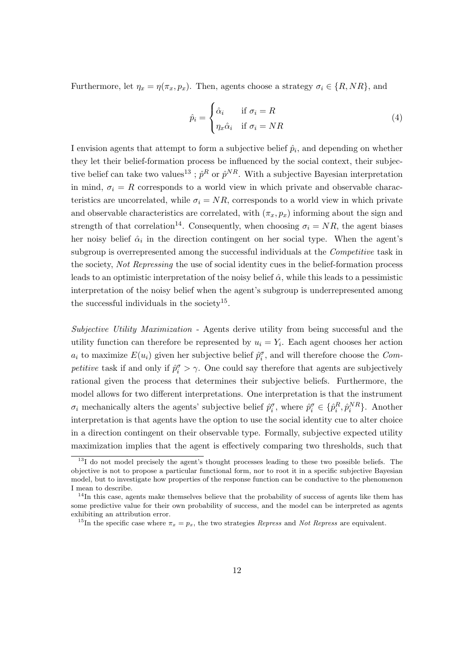Furthermore, let  $\eta_x = \eta(\pi_x, p_x)$ . Then, agents choose a strategy  $\sigma_i \in \{R, NR\}$ , and

$$
\hat{p}_i = \begin{cases}\n\hat{\alpha}_i & \text{if } \sigma_i = R \\
\eta_x \hat{\alpha}_i & \text{if } \sigma_i = NR\n\end{cases}
$$
\n(4)

I envision agents that attempt to form a subjective belief  $\hat{p}_i$ , and depending on whether they let their belief-formation process be influenced by the social context, their subjective belief can take two values<sup>13</sup>;  $\hat{p}^R$  or  $\hat{p}^{NR}$ . With a subjective Bayesian interpretation in mind,  $\sigma_i = R$  corresponds to a world view in which private and observable characteristics are uncorrelated, while  $\sigma_i = NR$ , corresponds to a world view in which private and observable characteristics are correlated, with  $(\pi_x, p_x)$  informing about the sign and strength of that correlation<sup>14</sup>. Consequently, when choosing  $\sigma_i = NR$ , the agent biases her noisy belief  $\hat{\alpha}_i$  in the direction contingent on her social type. When the agent's subgroup is overrepresented among the successful individuals at the *Competitive* task in the society, Not Repressing the use of social identity cues in the belief-formation process leads to an optimistic interpretation of the noisy belief  $\hat{\alpha}$ , while this leads to a pessimistic interpretation of the noisy belief when the agent's subgroup is underrepresented among the successful individuals in the society<sup>15</sup>.

Subjective Utility Maximization - Agents derive utility from being successful and the utility function can therefore be represented by  $u_i = Y_i$ . Each agent chooses her action  $a_i$  to maximize  $E(u_i)$  given her subjective belief  $\hat{p}_i^{\sigma}$ , and will therefore choose the Competitive task if and only if  $\hat{p}_i^{\sigma} > \gamma$ . One could say therefore that agents are subjectively rational given the process that determines their subjective beliefs. Furthermore, the model allows for two different interpretations. One interpretation is that the instrument  $\sigma_i$  mechanically alters the agents' subjective belief  $\hat{p}_i^{\sigma}$ , where  $\hat{p}_i^{\sigma} \in \{\hat{p}_i^R, \hat{p}_i^{NR}\}\$ . Another interpretation is that agents have the option to use the social identity cue to alter choice in a direction contingent on their observable type. Formally, subjective expected utility maximization implies that the agent is effectively comparing two thresholds, such that

 $13$ I do not model precisely the agent's thought processes leading to these two possible beliefs. The objective is not to propose a particular functional form, nor to root it in a specific subjective Bayesian model, but to investigate how properties of the response function can be conductive to the phenomenon I mean to describe.

 $14$ In this case, agents make themselves believe that the probability of success of agents like them has some predictive value for their own probability of success, and the model can be interpreted as agents exhibiting an attribution error.

<sup>&</sup>lt;sup>15</sup>In the specific case where  $\pi_x = p_x$ , the two strategies *Repress* and *Not Repress* are equivalent.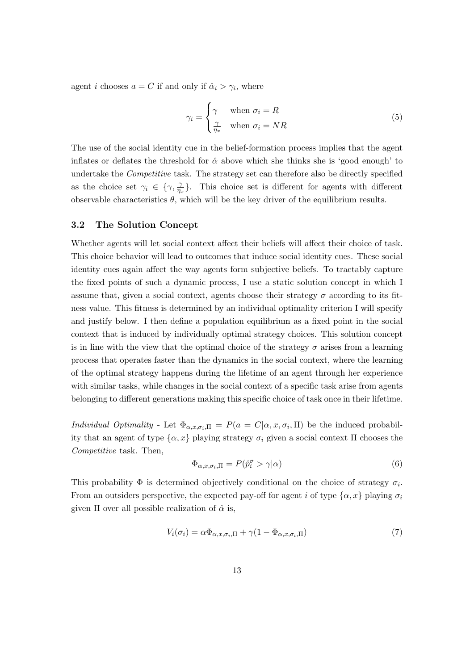agent *i* chooses  $a = C$  if and only if  $\hat{\alpha}_i > \gamma_i$ , where

$$
\gamma_i = \begin{cases} \gamma & \text{when } \sigma_i = R \\ \frac{\gamma}{\eta_x} & \text{when } \sigma_i = NR \end{cases}
$$
 (5)

The use of the social identity cue in the belief-formation process implies that the agent inflates or deflates the threshold for  $\hat{\alpha}$  above which she thinks she is 'good enough' to undertake the Competitive task. The strategy set can therefore also be directly specified as the choice set  $\gamma_i \in \{\gamma, \frac{\gamma}{n_i}\}$  $\frac{\gamma}{\eta_x}$ . This choice set is different for agents with different observable characteristics  $\theta$ , which will be the key driver of the equilibrium results.

### 3.2 The Solution Concept

Whether agents will let social context affect their beliefs will affect their choice of task. This choice behavior will lead to outcomes that induce social identity cues. These social identity cues again affect the way agents form subjective beliefs. To tractably capture the fixed points of such a dynamic process, I use a static solution concept in which I assume that, given a social context, agents choose their strategy  $\sigma$  according to its fitness value. This fitness is determined by an individual optimality criterion I will specify and justify below. I then define a population equilibrium as a fixed point in the social context that is induced by individually optimal strategy choices. This solution concept is in line with the view that the optimal choice of the strategy  $\sigma$  arises from a learning process that operates faster than the dynamics in the social context, where the learning of the optimal strategy happens during the lifetime of an agent through her experience with similar tasks, while changes in the social context of a specific task arise from agents belonging to different generations making this specific choice of task once in their lifetime.

*Individual Optimality* - Let  $\Phi_{\alpha,x,\sigma_i,\Pi} = P(a = C|\alpha, x, \sigma_i, \Pi)$  be the induced probability that an agent of type  $\{\alpha, x\}$  playing strategy  $\sigma_i$  given a social context Π chooses the Competitive task. Then,

$$
\Phi_{\alpha,x,\sigma_i,\Pi} = P(\hat{p}_i^{\sigma} > \gamma | \alpha)
$$
\n(6)

This probability  $\Phi$  is determined objectively conditional on the choice of strategy  $\sigma_i$ . From an outsiders perspective, the expected pay-off for agent i of type  $\{\alpha, x\}$  playing  $\sigma_i$ given  $\Pi$  over all possible realization of  $\hat{\alpha}$  is,

$$
V_i(\sigma_i) = \alpha \Phi_{\alpha, x, \sigma_i, \Pi} + \gamma (1 - \Phi_{\alpha, x, \sigma_i, \Pi})
$$
\n<sup>(7)</sup>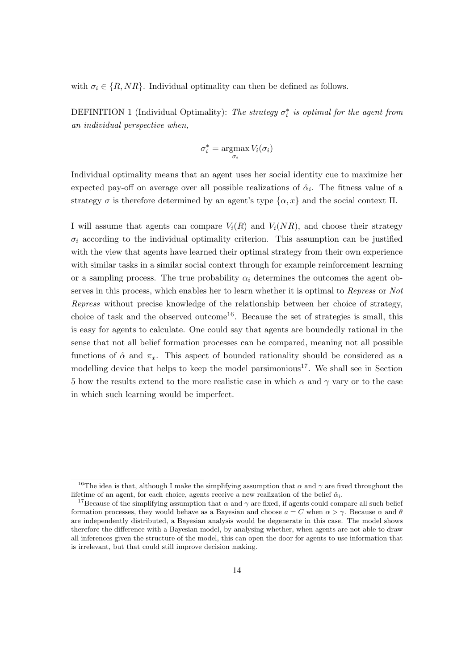with  $\sigma_i \in \{R, NR\}$ . Individual optimality can then be defined as follows.

DEFINITION 1 (Individual Optimality): The strategy  $\sigma_i^*$  is optimal for the agent from an individual perspective when,

$$
\sigma_i^* = \operatorname*{argmax}_{\sigma_i} V_i(\sigma_i)
$$

Individual optimality means that an agent uses her social identity cue to maximize her expected pay-off on average over all possible realizations of  $\hat{\alpha}_i$ . The fitness value of a strategy  $\sigma$  is therefore determined by an agent's type  $\{\alpha, x\}$  and the social context  $\Pi$ .

I will assume that agents can compare  $V_i(R)$  and  $V_i(NR)$ , and choose their strategy  $\sigma_i$  according to the individual optimality criterion. This assumption can be justified with the view that agents have learned their optimal strategy from their own experience with similar tasks in a similar social context through for example reinforcement learning or a sampling process. The true probability  $\alpha_i$  determines the outcomes the agent observes in this process, which enables her to learn whether it is optimal to Repress or Not Repress without precise knowledge of the relationship between her choice of strategy, choice of task and the observed outcome<sup>16</sup>. Because the set of strategies is small, this is easy for agents to calculate. One could say that agents are boundedly rational in the sense that not all belief formation processes can be compared, meaning not all possible functions of  $\hat{\alpha}$  and  $\pi_x$ . This aspect of bounded rationality should be considered as a modelling device that helps to keep the model parsimonious<sup>17</sup>. We shall see in Section 5 how the results extend to the more realistic case in which  $\alpha$  and  $\gamma$  vary or to the case in which such learning would be imperfect.

<sup>&</sup>lt;sup>16</sup>The idea is that, although I make the simplifying assumption that  $\alpha$  and  $\gamma$  are fixed throughout the lifetime of an agent, for each choice, agents receive a new realization of the belief  $\hat{\alpha}_i$ .

<sup>&</sup>lt;sup>17</sup>Because of the simplifying assumption that  $\alpha$  and  $\gamma$  are fixed, if agents could compare all such belief formation processes, they would behave as a Bayesian and choose  $a = C$  when  $\alpha > \gamma$ . Because  $\alpha$  and  $\theta$ are independently distributed, a Bayesian analysis would be degenerate in this case. The model shows therefore the difference with a Bayesian model, by analysing whether, when agents are not able to draw all inferences given the structure of the model, this can open the door for agents to use information that is irrelevant, but that could still improve decision making.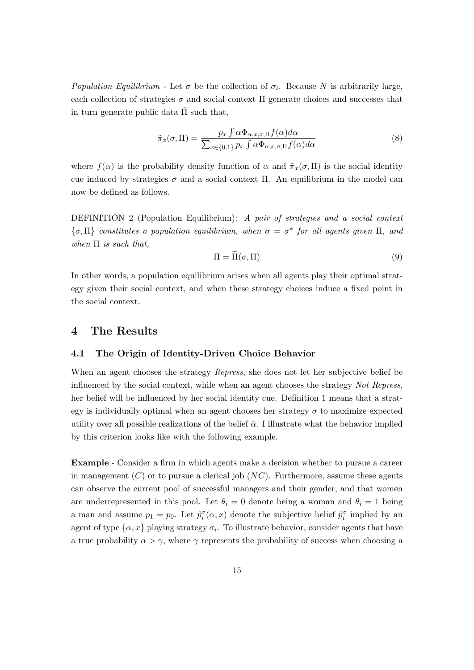Population Equilibrium - Let  $\sigma$  be the collection of  $\sigma_i$ . Because N is arbitrarily large, each collection of strategies  $\sigma$  and social context  $\Pi$  generate choices and successes that in turn generate public data  $\tilde{\Pi}$  such that,

$$
\tilde{\pi}_x(\sigma, \Pi) = \frac{p_x \int \alpha \Phi_{\alpha, x, \sigma, \Pi} f(\alpha) d\alpha}{\sum_{x \in \{0, 1\}} p_x \int \alpha \Phi_{\alpha, x, \sigma, \Pi} f(\alpha) d\alpha} \tag{8}
$$

where  $f(\alpha)$  is the probability density function of  $\alpha$  and  $\tilde{\pi}_x(\sigma, \Pi)$  is the social identity cue induced by strategies  $\sigma$  and a social context Π. An equilibrium in the model can now be defined as follows.

DEFINITION 2 (Population Equilibrium): A pair of strategies and a social context  $\{\sigma, \Pi\}$  constitutes a population equilibrium, when  $\sigma = \sigma^*$  for all agents given  $\Pi$ , and when  $\Pi$  is such that,

$$
\Pi = \widetilde{\Pi}(\sigma, \Pi) \tag{9}
$$

In other words, a population equilibrium arises when all agents play their optimal strategy given their social context, and when these strategy choices induce a fixed point in the social context.

# 4 The Results

## 4.1 The Origin of Identity-Driven Choice Behavior

When an agent chooses the strategy *Repress*, she does not let her subjective belief be influenced by the social context, while when an agent chooses the strategy Not Repress, her belief will be influenced by her social identity cue. Definition 1 means that a strategy is individually optimal when an agent chooses her strategy  $\sigma$  to maximize expected utility over all possible realizations of the belief  $\hat{\alpha}$ . I illustrate what the behavior implied by this criterion looks like with the following example.

Example - Consider a firm in which agents make a decision whether to pursue a career in management  $(C)$  or to pursue a clerical job  $(NC)$ . Furthermore, assume these agents can observe the current pool of successful managers and their gender, and that women are underrepresented in this pool. Let  $\theta_i = 0$  denote being a woman and  $\theta_i = 1$  being a man and assume  $p_1 = p_0$ . Let  $\hat{p}_i^{\sigma}(\alpha, x)$  denote the subjective belief  $\hat{p}_i^{\sigma}$  implied by an agent of type  $\{\alpha, x\}$  playing strategy  $\sigma_i$ . To illustrate behavior, consider agents that have a true probability  $\alpha > \gamma$ , where  $\gamma$  represents the probability of success when choosing a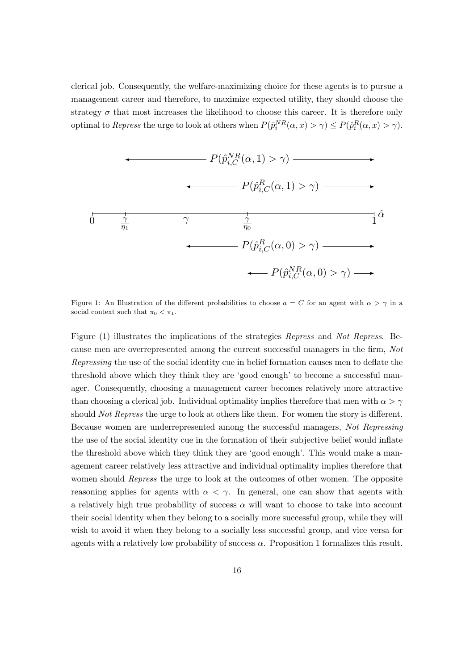clerical job. Consequently, the welfare-maximizing choice for these agents is to pursue a management career and therefore, to maximize expected utility, they should choose the strategy  $\sigma$  that most increases the likelihood to choose this career. It is therefore only optimal to Repress the urge to look at others when  $P(\hat{p}_i^{NR}(\alpha, x) > \gamma) \le P(\hat{p}_i^{R}(\alpha, x) > \gamma)$ .



Figure 1: An Illustration of the different probabilities to choose  $a = C$  for an agent with  $\alpha > \gamma$  in a social context such that  $\pi_0 < \pi_1$ .

Figure (1) illustrates the implications of the strategies Repress and Not Repress. Because men are overrepresented among the current successful managers in the firm, Not Repressing the use of the social identity cue in belief formation causes men to deflate the threshold above which they think they are 'good enough' to become a successful manager. Consequently, choosing a management career becomes relatively more attractive than choosing a clerical job. Individual optimality implies therefore that men with  $\alpha > \gamma$ should *Not Repress* the urge to look at others like them. For women the story is different. Because women are underrepresented among the successful managers, Not Repressing the use of the social identity cue in the formation of their subjective belief would inflate the threshold above which they think they are 'good enough'. This would make a management career relatively less attractive and individual optimality implies therefore that women should *Repress* the urge to look at the outcomes of other women. The opposite reasoning applies for agents with  $\alpha < \gamma$ . In general, one can show that agents with a relatively high true probability of success  $\alpha$  will want to choose to take into account their social identity when they belong to a socially more successful group, while they will wish to avoid it when they belong to a socially less successful group, and vice versa for agents with a relatively low probability of success  $\alpha$ . Proposition 1 formalizes this result.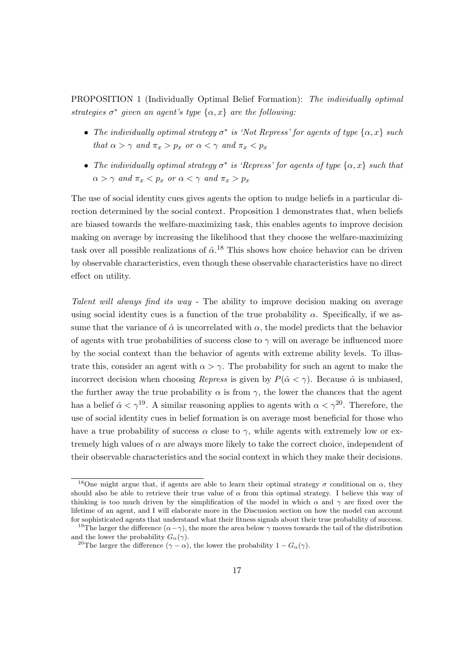PROPOSITION 1 (Individually Optimal Belief Formation): The individually optimal strategies  $\sigma^*$  given an agent's type  $\{\alpha, x\}$  are the following:

- The individually optimal strategy  $\sigma^*$  is 'Not Repress' for agents of type  $\{\alpha, x\}$  such that  $\alpha > \gamma$  and  $\pi_x > p_x$  or  $\alpha < \gamma$  and  $\pi_x < p_x$
- The individually optimal strategy  $\sigma^*$  is 'Repress' for agents of type  $\{\alpha, x\}$  such that  $\alpha > \gamma$  and  $\pi_x < p_x$  or  $\alpha < \gamma$  and  $\pi_x > p_x$

The use of social identity cues gives agents the option to nudge beliefs in a particular direction determined by the social context. Proposition 1 demonstrates that, when beliefs are biased towards the welfare-maximizing task, this enables agents to improve decision making on average by increasing the likelihood that they choose the welfare-maximizing task over all possible realizations of  $\hat{\alpha}$ .<sup>18</sup> This shows how choice behavior can be driven by observable characteristics, even though these observable characteristics have no direct effect on utility.

Talent will always find its way - The ability to improve decision making on average using social identity cues is a function of the true probability  $\alpha$ . Specifically, if we assume that the variance of  $\hat{\alpha}$  is uncorrelated with  $\alpha$ , the model predicts that the behavior of agents with true probabilities of success close to  $\gamma$  will on average be influenced more by the social context than the behavior of agents with extreme ability levels. To illustrate this, consider an agent with  $\alpha > \gamma$ . The probability for such an agent to make the incorrect decision when choosing Repress is given by  $P(\hat{\alpha} < \gamma)$ . Because  $\hat{\alpha}$  is unbiased, the further away the true probability  $\alpha$  is from  $\gamma$ , the lower the chances that the agent has a belief  $\hat{\alpha} < \gamma^{19}$ . A similar reasoning applies to agents with  $\alpha < \gamma^{20}$ . Therefore, the use of social identity cues in belief formation is on average most beneficial for those who have a true probability of success  $\alpha$  close to  $\gamma$ , while agents with extremely low or extremely high values of  $\alpha$  are always more likely to take the correct choice, independent of their observable characteristics and the social context in which they make their decisions.

<sup>&</sup>lt;sup>18</sup>One might argue that, if agents are able to learn their optimal strategy  $\sigma$  conditional on  $\alpha$ , they should also be able to retrieve their true value of  $\alpha$  from this optimal strategy. I believe this way of thinking is too much driven by the simplification of the model in which  $\alpha$  and  $\gamma$  are fixed over the lifetime of an agent, and I will elaborate more in the Discussion section on how the model can account for sophisticated agents that understand what their fitness signals about their true probability of success.

<sup>&</sup>lt;sup>19</sup>The larger the difference  $(\alpha - \gamma)$ , the more the area below  $\gamma$  moves towards the tail of the distribution and the lower the probability  $G_{\alpha}(\gamma)$ .

<sup>&</sup>lt;sup>20</sup>The larger the difference ( $\gamma - \alpha$ ), the lower the probability  $1 - G_{\alpha}(\gamma)$ .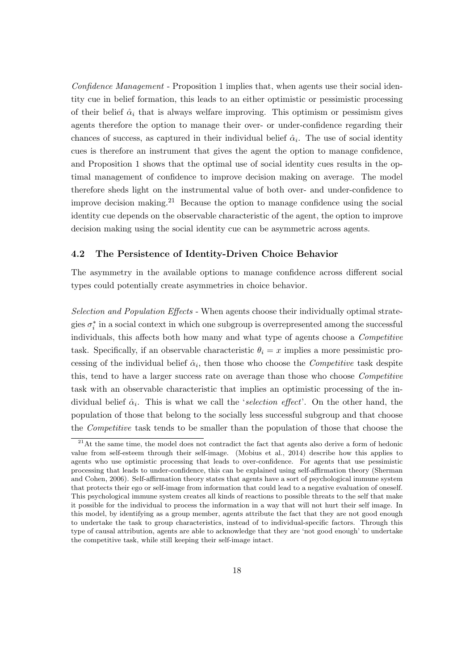Confidence Management - Proposition 1 implies that, when agents use their social identity cue in belief formation, this leads to an either optimistic or pessimistic processing of their belief  $\hat{\alpha}_i$  that is always welfare improving. This optimism or pessimism gives agents therefore the option to manage their over- or under-confidence regarding their chances of success, as captured in their individual belief  $\hat{\alpha}_i$ . The use of social identity cues is therefore an instrument that gives the agent the option to manage confidence, and Proposition 1 shows that the optimal use of social identity cues results in the optimal management of confidence to improve decision making on average. The model therefore sheds light on the instrumental value of both over- and under-confidence to improve decision making.<sup>21</sup> Because the option to manage confidence using the social identity cue depends on the observable characteristic of the agent, the option to improve decision making using the social identity cue can be asymmetric across agents.

### 4.2 The Persistence of Identity-Driven Choice Behavior

The asymmetry in the available options to manage confidence across different social types could potentially create asymmetries in choice behavior.

Selection and Population Effects - When agents choose their individually optimal strategies  $\sigma_i^*$  in a social context in which one subgroup is overrepresented among the successful individuals, this affects both how many and what type of agents choose a Competitive task. Specifically, if an observable characteristic  $\theta_i = x$  implies a more pessimistic processing of the individual belief  $\hat{\alpha}_i$ , then those who choose the *Competitive* task despite this, tend to have a larger success rate on average than those who choose Competitive task with an observable characteristic that implies an optimistic processing of the individual belief  $\hat{\alpha}_i$ . This is what we call the 'selection effect'. On the other hand, the population of those that belong to the socially less successful subgroup and that choose the Competitive task tends to be smaller than the population of those that choose the

 $21$ At the same time, the model does not contradict the fact that agents also derive a form of hedonic value from self-esteem through their self-image. (Mobius et al., 2014) describe how this applies to agents who use optimistic processing that leads to over-confidence. For agents that use pessimistic processing that leads to under-confidence, this can be explained using self-affirmation theory (Sherman and Cohen, 2006). Self-affirmation theory states that agents have a sort of psychological immune system that protects their ego or self-image from information that could lead to a negative evaluation of oneself. This psychological immune system creates all kinds of reactions to possible threats to the self that make it possible for the individual to process the information in a way that will not hurt their self image. In this model, by identifying as a group member, agents attribute the fact that they are not good enough to undertake the task to group characteristics, instead of to individual-specific factors. Through this type of causal attribution, agents are able to acknowledge that they are 'not good enough' to undertake the competitive task, while still keeping their self-image intact.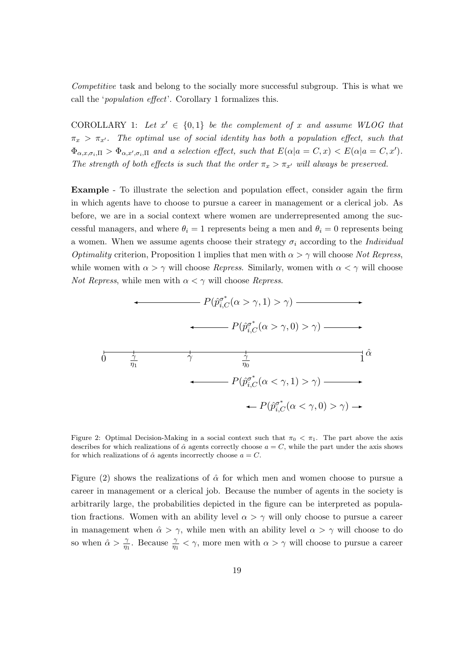Competitive task and belong to the socially more successful subgroup. This is what we call the 'population effect'. Corollary 1 formalizes this.

COROLLARY 1: Let  $x' \in \{0,1\}$  be the complement of x and assume WLOG that  $\pi_x > \pi_{x'}$ . The optimal use of social identity has both a population effect, such that  $\Phi_{\alpha,x,\sigma_i,\Pi} > \Phi_{\alpha,x',\sigma_i,\Pi}$  and a selection effect, such that  $E(\alpha|a = C, x) < E(\alpha|a = C, x')$ . The strength of both effects is such that the order  $\pi_x > \pi_{x'}$  will always be preserved.

Example - To illustrate the selection and population effect, consider again the firm in which agents have to choose to pursue a career in management or a clerical job. As before, we are in a social context where women are underrepresented among the successful managers, and where  $\theta_i = 1$  represents being a men and  $\theta_i = 0$  represents being a women. When we assume agents choose their strategy  $\sigma_i$  according to the *Individual Optimality* criterion, Proposition 1 implies that men with  $\alpha > \gamma$  will choose Not Repress, while women with  $\alpha > \gamma$  will choose *Repress*. Similarly, women with  $\alpha < \gamma$  will choose *Not Repress*, while men with  $\alpha < \gamma$  will choose *Repress*.



Figure 2: Optimal Decision-Making in a social context such that  $\pi_0 < \pi_1$ . The part above the axis describes for which realizations of  $\hat{\alpha}$  agents correctly choose  $a = C$ , while the part under the axis shows for which realizations of  $\hat{\alpha}$  agents incorrectly choose  $a = C$ .

Figure (2) shows the realizations of  $\hat{\alpha}$  for which men and women choose to pursue a career in management or a clerical job. Because the number of agents in the society is arbitrarily large, the probabilities depicted in the figure can be interpreted as population fractions. Women with an ability level  $\alpha > \gamma$  will only choose to pursue a career in management when  $\hat{\alpha} > \gamma$ , while men with an ability level  $\alpha > \gamma$  will choose to do so when  $\hat{\alpha} > \frac{\gamma}{\eta_1}$ . Because  $\frac{\gamma}{\eta_1} < \gamma$ , more men with  $\alpha > \gamma$  will choose to pursue a career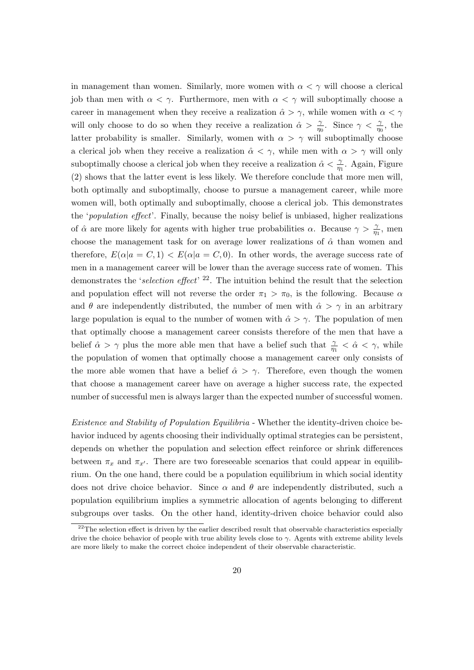in management than women. Similarly, more women with  $\alpha < \gamma$  will choose a clerical job than men with  $\alpha < \gamma$ . Furthermore, men with  $\alpha < \gamma$  will suboptimally choose a career in management when they receive a realization  $\hat{\alpha} > \gamma$ , while women with  $\alpha < \gamma$ will only choose to do so when they receive a realization  $\hat{\alpha} > \frac{\gamma}{\eta_0}$ . Since  $\gamma < \frac{\gamma}{\eta_0}$ , the latter probability is smaller. Similarly, women with  $\alpha > \gamma$  will suboptimally choose a clerical job when they receive a realization  $\hat{\alpha} < \gamma$ , while men with  $\alpha > \gamma$  will only suboptimally choose a clerical job when they receive a realization  $\hat{\alpha} < \frac{\gamma}{\eta_1}$ . Again, Figure (2) shows that the latter event is less likely. We therefore conclude that more men will, both optimally and suboptimally, choose to pursue a management career, while more women will, both optimally and suboptimally, choose a clerical job. This demonstrates the 'population effect'. Finally, because the noisy belief is unbiased, higher realizations of  $\hat{\alpha}$  are more likely for agents with higher true probabilities  $\alpha$ . Because  $\gamma > \frac{\gamma}{\eta_1}$ , men choose the management task for on average lower realizations of  $\hat{\alpha}$  than women and therefore,  $E(\alpha|a = C, 1) < E(\alpha|a = C, 0)$ . In other words, the average success rate of men in a management career will be lower than the average success rate of women. This demonstrates the 'selection effect'<sup>22</sup>. The intuition behind the result that the selection and population effect will not reverse the order  $\pi_1 > \pi_0$ , is the following. Because  $\alpha$ and  $\theta$  are independently distributed, the number of men with  $\hat{\alpha} > \gamma$  in an arbitrary large population is equal to the number of women with  $\hat{\alpha} > \gamma$ . The population of men that optimally choose a management career consists therefore of the men that have a belief  $\hat{\alpha} > \gamma$  plus the more able men that have a belief such that  $\frac{\gamma}{\eta_1} < \hat{\alpha} < \gamma$ , while the population of women that optimally choose a management career only consists of the more able women that have a belief  $\hat{\alpha} > \gamma$ . Therefore, even though the women that choose a management career have on average a higher success rate, the expected number of successful men is always larger than the expected number of successful women.

Existence and Stability of Population Equilibria - Whether the identity-driven choice behavior induced by agents choosing their individually optimal strategies can be persistent, depends on whether the population and selection effect reinforce or shrink differences between  $\pi_x$  and  $\pi_{x'}$ . There are two foreseeable scenarios that could appear in equilibrium. On the one hand, there could be a population equilibrium in which social identity does not drive choice behavior. Since  $\alpha$  and  $\theta$  are independently distributed, such a population equilibrium implies a symmetric allocation of agents belonging to different subgroups over tasks. On the other hand, identity-driven choice behavior could also

 $^{22}$ The selection effect is driven by the earlier described result that observable characteristics especially drive the choice behavior of people with true ability levels close to  $\gamma$ . Agents with extreme ability levels are more likely to make the correct choice independent of their observable characteristic.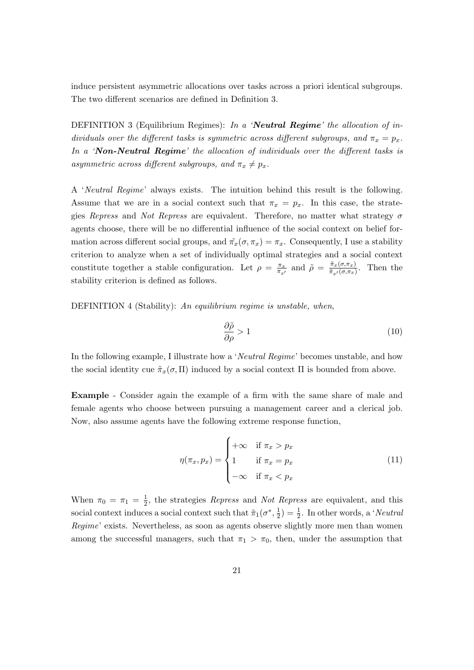induce persistent asymmetric allocations over tasks across a priori identical subgroups. The two different scenarios are defined in Definition 3.

DEFINITION 3 (Equilibrium Regimes): In a 'Neutral Regime' the allocation of individuals over the different tasks is symmetric across different subgroups, and  $\pi_x = p_x$ . In a 'Non-Neutral Regime' the allocation of individuals over the different tasks is asymmetric across different subgroups, and  $\pi_x \neq p_x$ .

A 'Neutral Regime' always exists. The intuition behind this result is the following. Assume that we are in a social context such that  $\pi_x = p_x$ . In this case, the strategies Repress and Not Repress are equivalent. Therefore, no matter what strategy  $\sigma$ agents choose, there will be no differential influence of the social context on belief formation across different social groups, and  $\tilde{\pi}_x(\sigma, \pi_x) = \pi_x$ . Consequently, I use a stability criterion to analyze when a set of individually optimal strategies and a social context constitute together a stable configuration. Let  $\rho = \frac{\pi_x}{\pi}$  $\frac{\pi_x}{\pi_{x'}}$  and  $\tilde{\rho} = \frac{\tilde{\pi}_x(\sigma, \pi_x)}{\tilde{\pi}_{x'}(\sigma, \pi_x)}$  $\frac{\pi_x(\sigma,\pi_x)}{\tilde{\pi}_{x'}(\sigma,\pi_x)}$ . Then the stability criterion is defined as follows.

DEFINITION 4 (Stability): An equilibrium regime is unstable, when,

$$
\frac{\partial \tilde{\rho}}{\partial \rho} > 1\tag{10}
$$

In the following example, I illustrate how a 'Neutral Regime' becomes unstable, and how the social identity cue  $\tilde{\pi}_x(\sigma, \Pi)$  induced by a social context  $\Pi$  is bounded from above.

Example - Consider again the example of a firm with the same share of male and female agents who choose between pursuing a management career and a clerical job. Now, also assume agents have the following extreme response function,

$$
\eta(\pi_x, p_x) = \begin{cases}\n+\infty & \text{if } \pi_x > p_x \\
1 & \text{if } \pi_x = p_x \\
-\infty & \text{if } \pi_x < p_x\n\end{cases}
$$
\n(11)

When  $\pi_0 = \pi_1 = \frac{1}{2}$  $\frac{1}{2}$ , the strategies *Repress* and *Not Repress* are equivalent, and this social context induces a social context such that  $\tilde{\pi}_1(\sigma^*, \frac{1}{2})$  $(\frac{1}{2}) = \frac{1}{2}$ . In other words, a '*Neutral* Regime' exists. Nevertheless, as soon as agents observe slightly more men than women among the successful managers, such that  $\pi_1 > \pi_0$ , then, under the assumption that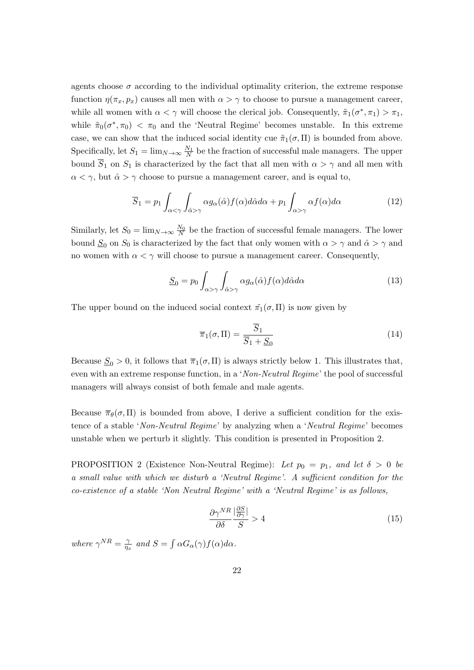agents choose  $\sigma$  according to the individual optimality criterion, the extreme response function  $\eta(\pi_x, p_x)$  causes all men with  $\alpha > \gamma$  to choose to pursue a management career, while all women with  $\alpha < \gamma$  will choose the clerical job. Consequently,  $\tilde{\pi}_1(\sigma^*, \pi_1) > \pi_1$ , while  $\tilde{\pi}_0(\sigma^*, \pi_0) < \pi_0$  and the 'Neutral Regime' becomes unstable. In this extreme case, we can show that the induced social identity cue  $\tilde{\pi}_1(\sigma, \Pi)$  is bounded from above. Specifically, let  $S_1 = \lim_{N \to \infty} \frac{N_1}{N}$  be the fraction of successful male managers. The upper bound  $\overline{S}_1$  on  $S_1$  is characterized by the fact that all men with  $\alpha > \gamma$  and all men with  $\alpha < \gamma$ , but  $\hat{\alpha} > \gamma$  choose to pursue a management career, and is equal to,

$$
\overline{S}_1 = p_1 \int_{\alpha < \gamma} \int_{\hat{\alpha} > \gamma} \alpha g_{\alpha}(\hat{\alpha}) f(\alpha) d\hat{\alpha} d\alpha + p_1 \int_{\alpha > \gamma} \alpha f(\alpha) d\alpha \tag{12}
$$

Similarly, let  $S_0 = \lim_{N \to \infty} \frac{N_0}{N}$  be the fraction of successful female managers. The lower bound  $S_0$  on  $S_0$  is characterized by the fact that only women with  $\alpha > \gamma$  and  $\hat{\alpha} > \gamma$  and no women with  $\alpha < \gamma$  will choose to pursue a management career. Consequently,

$$
\underline{S}_0 = p_0 \int_{\alpha > \gamma} \int_{\hat{\alpha} > \gamma} \alpha g_\alpha(\hat{\alpha}) f(\alpha) d\hat{\alpha} d\alpha \tag{13}
$$

The upper bound on the induced social context  $\tilde{\pi}_1(\sigma, \Pi)$  is now given by

$$
\overline{\pi}_1(\sigma, \Pi) = \frac{\overline{S}_1}{\overline{S}_1 + \underline{S}_0} \tag{14}
$$

Because  $S_0 > 0$ , it follows that  $\overline{\pi}_1(\sigma, \Pi)$  is always strictly below 1. This illustrates that, even with an extreme response function, in a 'Non-Neutral Regime' the pool of successful managers will always consist of both female and male agents.

Because  $\overline{\pi}_{\theta}(\sigma, \Pi)$  is bounded from above, I derive a sufficient condition for the existence of a stable 'Non-Neutral Regime' by analyzing when a 'Neutral Regime' becomes unstable when we perturb it slightly. This condition is presented in Proposition 2.

PROPOSITION 2 (Existence Non-Neutral Regime): Let  $p_0 = p_1$ , and let  $\delta > 0$  be a small value with which we disturb a 'Neutral Regime'. A sufficient condition for the co-existence of a stable 'Non Neutral Regime' with a 'Neutral Regime' is as follows,

$$
\frac{\partial \gamma^{NR}}{\partial \delta} \frac{|\frac{\partial S}{\partial \gamma}|}{S} > 4
$$
\n(15)

where  $\gamma^{NR} = \frac{\gamma}{n}$  $\frac{\gamma}{\eta_x}$  and  $S = \int \alpha G_\alpha(\gamma) f(\alpha) d\alpha$ .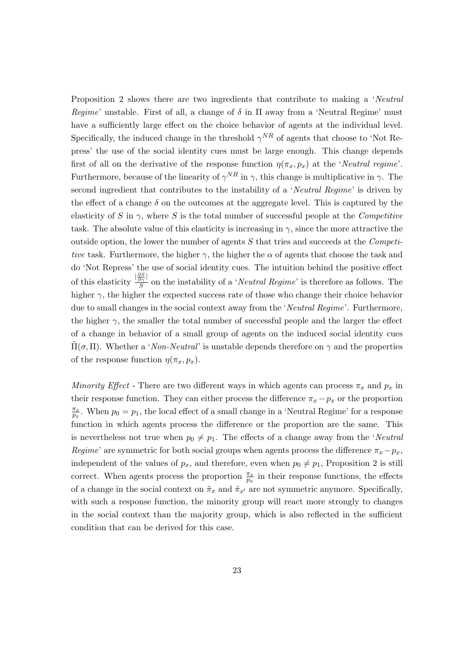Proposition 2 shows there are two ingredients that contribute to making a 'Neutral Regime' unstable. First of all, a change of  $\delta$  in  $\Pi$  away from a 'Neutral Regime' must have a sufficiently large effect on the choice behavior of agents at the individual level. Specifically, the induced change in the threshold  $\gamma^{NR}$  of agents that choose to 'Not Repress' the use of the social identity cues must be large enough. This change depends first of all on the derivative of the response function  $\eta(\pi_x, p_x)$  at the 'Neutral regime'. Furthermore, because of the linearity of  $\gamma^{NR}$  in  $\gamma$ , this change is multiplicative in  $\gamma$ . The second ingredient that contributes to the instability of a 'Neutral Regime' is driven by the effect of a change  $\delta$  on the outcomes at the aggregate level. This is captured by the elasticity of S in  $\gamma$ , where S is the total number of successful people at the Competitive task. The absolute value of this elasticity is increasing in  $\gamma$ , since the more attractive the outside option, the lower the number of agents  $S$  that tries and succeeds at the *Competi*tive task. Furthermore, the higher  $\gamma$ , the higher the  $\alpha$  of agents that choose the task and do 'Not Repress' the use of social identity cues. The intuition behind the positive effect of this elasticity  $\frac{\left|\frac{\partial S}{\partial \gamma}\right|}{S}$  $\frac{\partial \gamma}{\partial S}$  on the instability of a '*Neutral Regime*' is therefore as follows. The higher  $\gamma$ , the higher the expected success rate of those who change their choice behavior due to small changes in the social context away from the 'Neutral Regime'. Furthermore, the higher  $\gamma$ , the smaller the total number of successful people and the larger the effect of a change in behavior of a small group of agents on the induced social identity cues  $\Pi(σ, Π)$ . Whether a 'Non-Neutral' is unstable depends therefore on  $γ$  and the properties of the response function  $\eta(\pi_x, p_x)$ .

Minority Effect - There are two different ways in which agents can process  $\pi_x$  and  $p_x$  in their response function. They can either process the difference  $\pi_x - p_x$  or the proportion  $\pi_x$  $\frac{\pi_x}{p_x}$ . When  $p_0 = p_1$ , the local effect of a small change in a 'Neutral Regime' for a response function in which agents process the difference or the proportion are the same. This is nevertheless not true when  $p_0 \neq p_1$ . The effects of a change away from the 'Neutral' Regime' are symmetric for both social groups when agents process the difference  $\pi_x - p_x$ , independent of the values of  $p_x$ , and therefore, even when  $p_0 \neq p_1$ , Proposition 2 is still correct. When agents process the proportion  $\frac{\pi_x}{p_x}$  in their response functions, the effects of a change in the social context on  $\tilde{\pi}_x$  and  $\tilde{\pi}_{x'}$  are not symmetric anymore. Specifically, with such a response function, the minority group will react more strongly to changes in the social context than the majority group, which is also reflected in the sufficient condition that can be derived for this case.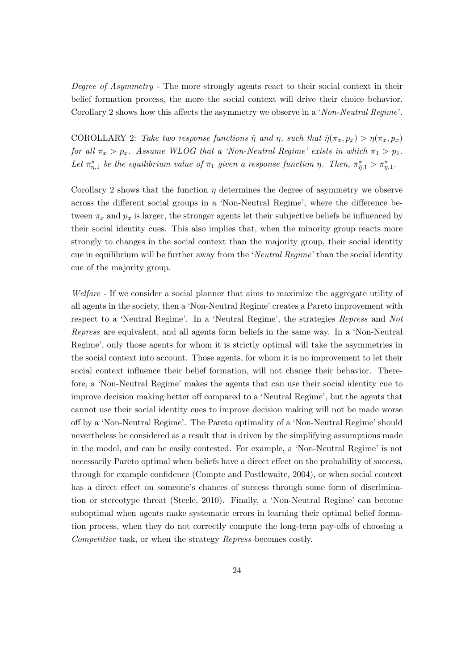Degree of Asymmetry - The more strongly agents react to their social context in their belief formation process, the more the social context will drive their choice behavior. Corollary 2 shows how this affects the asymmetry we observe in a 'Non-Neutral Regime'.

COROLLARY 2: Take two response functions  $\hat{\eta}$  and  $\eta$ , such that  $\hat{\eta}(\pi_x, p_x) > \eta(\pi_x, p_x)$ for all  $\pi_x > p_x$ . Assume WLOG that a 'Non-Neutral Regime' exists in which  $\pi_1 > p_1$ . Let  $\pi_{\eta,1}^*$  be the equilibrium value of  $\pi_1$  given a response function  $\eta$ . Then,  $\pi_{\eta,1}^* > \pi_{\eta,1}^*$ .

Corollary 2 shows that the function  $\eta$  determines the degree of asymmetry we observe across the different social groups in a 'Non-Neutral Regime', where the difference between  $\pi_x$  and  $p_x$  is larger, the stronger agents let their subjective beliefs be influenced by their social identity cues. This also implies that, when the minority group reacts more strongly to changes in the social context than the majority group, their social identity cue in equilibrium will be further away from the 'Neutral Regime' than the social identity cue of the majority group.

Welfare - If we consider a social planner that aims to maximize the aggregate utility of all agents in the society, then a 'Non-Neutral Regime' creates a Pareto improvement with respect to a 'Neutral Regime'. In a 'Neutral Regime', the strategies Repress and Not Repress are equivalent, and all agents form beliefs in the same way. In a 'Non-Neutral Regime', only those agents for whom it is strictly optimal will take the asymmetries in the social context into account. Those agents, for whom it is no improvement to let their social context influence their belief formation, will not change their behavior. Therefore, a 'Non-Neutral Regime' makes the agents that can use their social identity cue to improve decision making better off compared to a 'Neutral Regime', but the agents that cannot use their social identity cues to improve decision making will not be made worse off by a 'Non-Neutral Regime'. The Pareto optimality of a 'Non-Neutral Regime' should nevertheless be considered as a result that is driven by the simplifying assumptions made in the model, and can be easily contested. For example, a 'Non-Neutral Regime' is not necessarily Pareto optimal when beliefs have a direct effect on the probability of success, through for example confidence (Compte and Postlewaite, 2004), or when social context has a direct effect on someone's chances of success through some form of discrimination or stereotype threat (Steele, 2010). Finally, a 'Non-Neutral Regime' can become suboptimal when agents make systematic errors in learning their optimal belief formation process, when they do not correctly compute the long-term pay-offs of choosing a Competitive task, or when the strategy Repress becomes costly.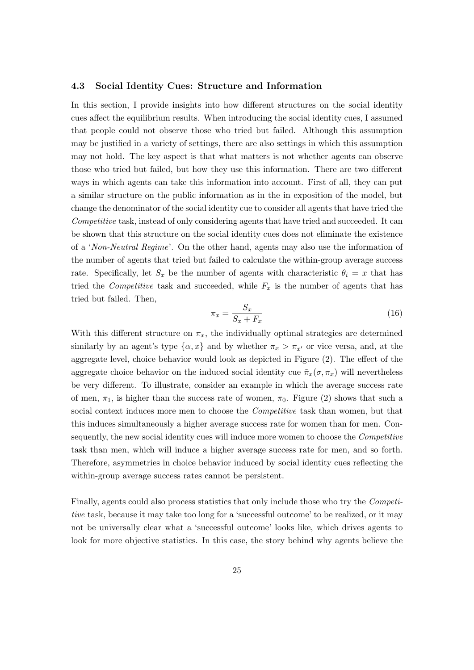#### 4.3 Social Identity Cues: Structure and Information

In this section, I provide insights into how different structures on the social identity cues affect the equilibrium results. When introducing the social identity cues, I assumed that people could not observe those who tried but failed. Although this assumption may be justified in a variety of settings, there are also settings in which this assumption may not hold. The key aspect is that what matters is not whether agents can observe those who tried but failed, but how they use this information. There are two different ways in which agents can take this information into account. First of all, they can put a similar structure on the public information as in the in exposition of the model, but change the denominator of the social identity cue to consider all agents that have tried the Competitive task, instead of only considering agents that have tried and succeeded. It can be shown that this structure on the social identity cues does not eliminate the existence of a 'Non-Neutral Regime'. On the other hand, agents may also use the information of the number of agents that tried but failed to calculate the within-group average success rate. Specifically, let  $S_x$  be the number of agents with characteristic  $\theta_i = x$  that has tried the *Competitive* task and succeeded, while  $F_x$  is the number of agents that has tried but failed. Then,

$$
\pi_x = \frac{S_x}{S_x + F_x} \tag{16}
$$

With this different structure on  $\pi_x$ , the individually optimal strategies are determined similarly by an agent's type  $\{\alpha, x\}$  and by whether  $\pi_x > \pi_{x}$  or vice versa, and, at the aggregate level, choice behavior would look as depicted in Figure (2). The effect of the aggregate choice behavior on the induced social identity cue  $\tilde{\pi}_x(\sigma, \pi_x)$  will nevertheless be very different. To illustrate, consider an example in which the average success rate of men,  $\pi_1$ , is higher than the success rate of women,  $\pi_0$ . Figure (2) shows that such a social context induces more men to choose the *Competitive* task than women, but that this induces simultaneously a higher average success rate for women than for men. Consequently, the new social identity cues will induce more women to choose the Competitive task than men, which will induce a higher average success rate for men, and so forth. Therefore, asymmetries in choice behavior induced by social identity cues reflecting the within-group average success rates cannot be persistent.

Finally, agents could also process statistics that only include those who try the Competitive task, because it may take too long for a 'successful outcome' to be realized, or it may not be universally clear what a 'successful outcome' looks like, which drives agents to look for more objective statistics. In this case, the story behind why agents believe the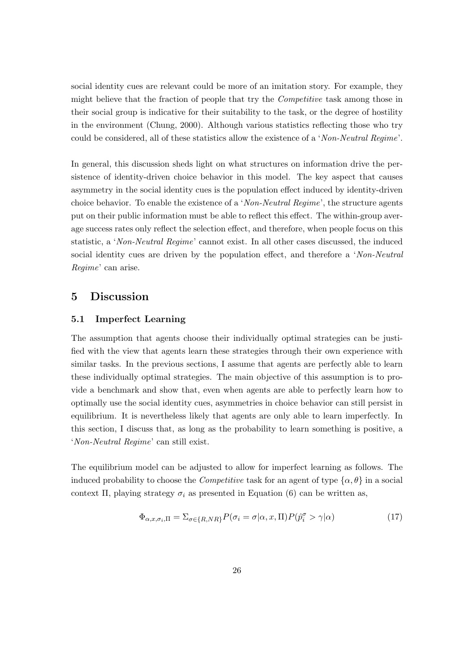social identity cues are relevant could be more of an imitation story. For example, they might believe that the fraction of people that try the Competitive task among those in their social group is indicative for their suitability to the task, or the degree of hostility in the environment (Chung, 2000). Although various statistics reflecting those who try could be considered, all of these statistics allow the existence of a 'Non-Neutral Regime'.

In general, this discussion sheds light on what structures on information drive the persistence of identity-driven choice behavior in this model. The key aspect that causes asymmetry in the social identity cues is the population effect induced by identity-driven choice behavior. To enable the existence of a 'Non-Neutral Regime', the structure agents put on their public information must be able to reflect this effect. The within-group average success rates only reflect the selection effect, and therefore, when people focus on this statistic, a 'Non-Neutral Regime' cannot exist. In all other cases discussed, the induced social identity cues are driven by the population effect, and therefore a 'Non-Neutral' Regime' can arise.

# 5 Discussion

### 5.1 Imperfect Learning

The assumption that agents choose their individually optimal strategies can be justified with the view that agents learn these strategies through their own experience with similar tasks. In the previous sections, I assume that agents are perfectly able to learn these individually optimal strategies. The main objective of this assumption is to provide a benchmark and show that, even when agents are able to perfectly learn how to optimally use the social identity cues, asymmetries in choice behavior can still persist in equilibrium. It is nevertheless likely that agents are only able to learn imperfectly. In this section, I discuss that, as long as the probability to learn something is positive, a 'Non-Neutral Regime' can still exist.

The equilibrium model can be adjusted to allow for imperfect learning as follows. The induced probability to choose the *Competitive* task for an agent of type  $\{\alpha, \theta\}$  in a social context Π, playing strategy  $\sigma_i$  as presented in Equation (6) can be written as,

$$
\Phi_{\alpha,x,\sigma_i,\Pi} = \sum_{\sigma \in \{R, NR\}} P(\sigma_i = \sigma | \alpha, x, \Pi) P(\hat{p}_i^{\sigma} > \gamma | \alpha)
$$
\n(17)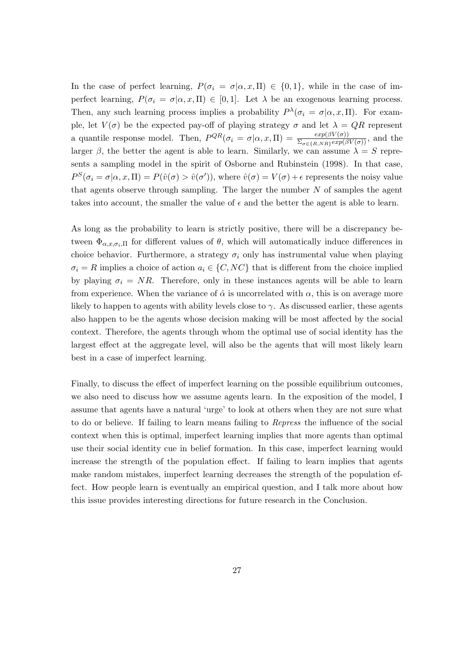In the case of perfect learning,  $P(\sigma_i = \sigma | \alpha, x, \Pi) \in \{0, 1\}$ , while in the case of imperfect learning,  $P(\sigma_i = \sigma | \alpha, x, \Pi) \in [0, 1]$ . Let  $\lambda$  be an exogenous learning process. Then, any such learning process implies a probability  $P^{\lambda}(\sigma_i = \sigma | \alpha, x, \Pi)$ . For example, let  $V(\sigma)$  be the expected pay-off of playing strategy  $\sigma$  and let  $\lambda = QR$  represent a quantile response model. Then,  $P^{QR}(\sigma_i = \sigma | \alpha, x, \Pi) = \frac{exp(\beta V(\sigma))}{\sum_{\sigma \in \{R, NR\}} exp(\beta V(\sigma))}$ , and the larger  $\beta$ , the better the agent is able to learn. Similarly, we can assume  $\lambda = S$  represents a sampling model in the spirit of Osborne and Rubinstein (1998). In that case,  $P^{S}(\sigma_i = \sigma | \alpha, x, \Pi) = P(\hat{v}(\sigma) > \hat{v}(\sigma'))$ , where  $\hat{v}(\sigma) = V(\sigma) + \epsilon$  represents the noisy value that agents observe through sampling. The larger the number  $N$  of samples the agent takes into account, the smaller the value of  $\epsilon$  and the better the agent is able to learn.

As long as the probability to learn is strictly positive, there will be a discrepancy between  $\Phi_{\alpha,x,\sigma_i,\Pi}$  for different values of  $\theta$ , which will automatically induce differences in choice behavior. Furthermore, a strategy  $\sigma_i$  only has instrumental value when playing  $\sigma_i = R$  implies a choice of action  $a_i \in \{C, NC\}$  that is different from the choice implied by playing  $\sigma_i = NR$ . Therefore, only in these instances agents will be able to learn from experience. When the variance of  $\hat{\alpha}$  is uncorrelated with  $\alpha$ , this is on average more likely to happen to agents with ability levels close to  $\gamma$ . As discussed earlier, these agents also happen to be the agents whose decision making will be most affected by the social context. Therefore, the agents through whom the optimal use of social identity has the largest effect at the aggregate level, will also be the agents that will most likely learn best in a case of imperfect learning.

Finally, to discuss the effect of imperfect learning on the possible equilibrium outcomes, we also need to discuss how we assume agents learn. In the exposition of the model, I assume that agents have a natural 'urge' to look at others when they are not sure what to do or believe. If failing to learn means failing to Repress the influence of the social context when this is optimal, imperfect learning implies that more agents than optimal use their social identity cue in belief formation. In this case, imperfect learning would increase the strength of the population effect. If failing to learn implies that agents make random mistakes, imperfect learning decreases the strength of the population effect. How people learn is eventually an empirical question, and I talk more about how this issue provides interesting directions for future research in the Conclusion.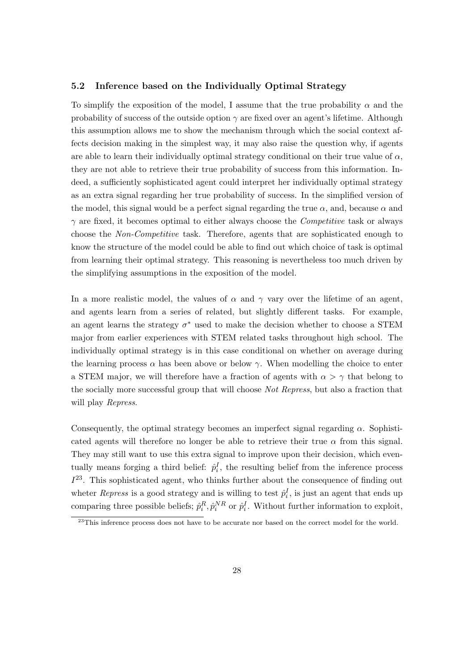#### 5.2 Inference based on the Individually Optimal Strategy

To simplify the exposition of the model, I assume that the true probability  $\alpha$  and the probability of success of the outside option  $\gamma$  are fixed over an agent's lifetime. Although this assumption allows me to show the mechanism through which the social context affects decision making in the simplest way, it may also raise the question why, if agents are able to learn their individually optimal strategy conditional on their true value of  $\alpha$ , they are not able to retrieve their true probability of success from this information. Indeed, a sufficiently sophisticated agent could interpret her individually optimal strategy as an extra signal regarding her true probability of success. In the simplified version of the model, this signal would be a perfect signal regarding the true  $\alpha$ , and, because  $\alpha$  and  $\gamma$  are fixed, it becomes optimal to either always choose the *Competitive* task or always choose the Non-Competitive task. Therefore, agents that are sophisticated enough to know the structure of the model could be able to find out which choice of task is optimal from learning their optimal strategy. This reasoning is nevertheless too much driven by the simplifying assumptions in the exposition of the model.

In a more realistic model, the values of  $\alpha$  and  $\gamma$  vary over the lifetime of an agent, and agents learn from a series of related, but slightly different tasks. For example, an agent learns the strategy  $\sigma^*$  used to make the decision whether to choose a STEM major from earlier experiences with STEM related tasks throughout high school. The individually optimal strategy is in this case conditional on whether on average during the learning process  $\alpha$  has been above or below  $\gamma$ . When modelling the choice to enter a STEM major, we will therefore have a fraction of agents with  $\alpha > \gamma$  that belong to the socially more successful group that will choose Not Repress, but also a fraction that will play Repress.

Consequently, the optimal strategy becomes an imperfect signal regarding  $\alpha$ . Sophisticated agents will therefore no longer be able to retrieve their true  $\alpha$  from this signal. They may still want to use this extra signal to improve upon their decision, which eventually means forging a third belief:  $\hat{p}_i^I$ , the resulting belief from the inference process  $I^{23}$ . This sophisticated agent, who thinks further about the consequence of finding out wheter *Repress* is a good strategy and is willing to test  $\hat{p}_i^I$ , is just an agent that ends up comparing three possible beliefs;  $\hat{p}_i^R$ ,  $\hat{p}_i^{NR}$  or  $\hat{p}_i^I$ . Without further information to exploit,

 $^{23}$ This inference process does not have to be accurate nor based on the correct model for the world.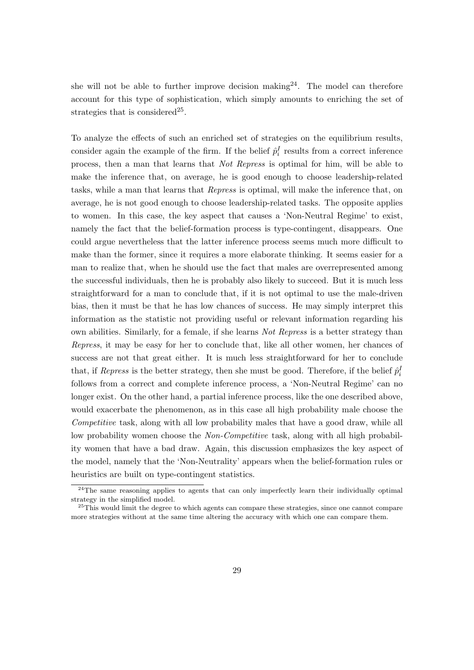she will not be able to further improve decision making  $2^4$ . The model can therefore account for this type of sophistication, which simply amounts to enriching the set of strategies that is considered<sup>25</sup>.

To analyze the effects of such an enriched set of strategies on the equilibrium results, consider again the example of the firm. If the belief  $\hat{p}_i^I$  results from a correct inference process, then a man that learns that Not Repress is optimal for him, will be able to make the inference that, on average, he is good enough to choose leadership-related tasks, while a man that learns that Repress is optimal, will make the inference that, on average, he is not good enough to choose leadership-related tasks. The opposite applies to women. In this case, the key aspect that causes a 'Non-Neutral Regime' to exist, namely the fact that the belief-formation process is type-contingent, disappears. One could argue nevertheless that the latter inference process seems much more difficult to make than the former, since it requires a more elaborate thinking. It seems easier for a man to realize that, when he should use the fact that males are overrepresented among the successful individuals, then he is probably also likely to succeed. But it is much less straightforward for a man to conclude that, if it is not optimal to use the male-driven bias, then it must be that he has low chances of success. He may simply interpret this information as the statistic not providing useful or relevant information regarding his own abilities. Similarly, for a female, if she learns Not Repress is a better strategy than Repress, it may be easy for her to conclude that, like all other women, her chances of success are not that great either. It is much less straightforward for her to conclude that, if *Repress* is the better strategy, then she must be good. Therefore, if the belief  $\hat{p}_i^l$ follows from a correct and complete inference process, a 'Non-Neutral Regime' can no longer exist. On the other hand, a partial inference process, like the one described above, would exacerbate the phenomenon, as in this case all high probability male choose the Competitive task, along with all low probability males that have a good draw, while all low probability women choose the Non-Competitive task, along with all high probability women that have a bad draw. Again, this discussion emphasizes the key aspect of the model, namely that the 'Non-Neutrality' appears when the belief-formation rules or heuristics are built on type-contingent statistics.

 $24$ The same reasoning applies to agents that can only imperfectly learn their individually optimal strategy in the simplified model.

<sup>&</sup>lt;sup>25</sup>This would limit the degree to which agents can compare these strategies, since one cannot compare more strategies without at the same time altering the accuracy with which one can compare them.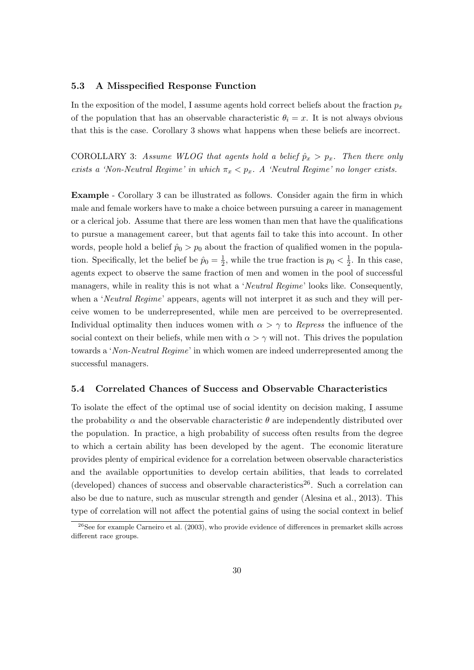### 5.3 A Misspecified Response Function

In the exposition of the model, I assume agents hold correct beliefs about the fraction  $p_x$ of the population that has an observable characteristic  $\theta_i = x$ . It is not always obvious that this is the case. Corollary 3 shows what happens when these beliefs are incorrect.

COROLLARY 3: Assume WLOG that agents hold a belief  $\hat{p}_x > p_x$ . Then there only exists a 'Non-Neutral Regime' in which  $\pi_x < p_x$ . A 'Neutral Regime' no longer exists.

Example - Corollary 3 can be illustrated as follows. Consider again the firm in which male and female workers have to make a choice between pursuing a career in management or a clerical job. Assume that there are less women than men that have the qualifications to pursue a management career, but that agents fail to take this into account. In other words, people hold a belief  $\hat{p}_0 > p_0$  about the fraction of qualified women in the population. Specifically, let the belief be  $\hat{p}_0 = \frac{1}{2}$  $\frac{1}{2}$ , while the true fraction is  $p_0 < \frac{1}{2}$  $\frac{1}{2}$ . In this case, agents expect to observe the same fraction of men and women in the pool of successful managers, while in reality this is not what a 'Neutral Regime' looks like. Consequently, when a 'Neutral Regime' appears, agents will not interpret it as such and they will perceive women to be underrepresented, while men are perceived to be overrepresented. Individual optimality then induces women with  $\alpha > \gamma$  to Repress the influence of the social context on their beliefs, while men with  $\alpha > \gamma$  will not. This drives the population towards a 'Non-Neutral Regime' in which women are indeed underrepresented among the successful managers.

#### 5.4 Correlated Chances of Success and Observable Characteristics

To isolate the effect of the optimal use of social identity on decision making, I assume the probability  $\alpha$  and the observable characteristic  $\theta$  are independently distributed over the population. In practice, a high probability of success often results from the degree to which a certain ability has been developed by the agent. The economic literature provides plenty of empirical evidence for a correlation between observable characteristics and the available opportunities to develop certain abilities, that leads to correlated (developed) chances of success and observable characteristics<sup>26</sup>. Such a correlation can also be due to nature, such as muscular strength and gender (Alesina et al., 2013). This type of correlation will not affect the potential gains of using the social context in belief

 $^{26}$ See for example Carneiro et al. (2003), who provide evidence of differences in premarket skills across different race groups.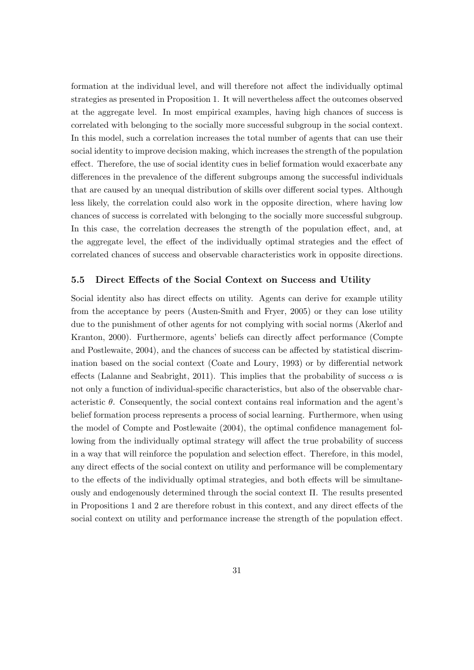formation at the individual level, and will therefore not affect the individually optimal strategies as presented in Proposition 1. It will nevertheless affect the outcomes observed at the aggregate level. In most empirical examples, having high chances of success is correlated with belonging to the socially more successful subgroup in the social context. In this model, such a correlation increases the total number of agents that can use their social identity to improve decision making, which increases the strength of the population effect. Therefore, the use of social identity cues in belief formation would exacerbate any differences in the prevalence of the different subgroups among the successful individuals that are caused by an unequal distribution of skills over different social types. Although less likely, the correlation could also work in the opposite direction, where having low chances of success is correlated with belonging to the socially more successful subgroup. In this case, the correlation decreases the strength of the population effect, and, at the aggregate level, the effect of the individually optimal strategies and the effect of correlated chances of success and observable characteristics work in opposite directions.

#### 5.5 Direct Effects of the Social Context on Success and Utility

Social identity also has direct effects on utility. Agents can derive for example utility from the acceptance by peers (Austen-Smith and Fryer, 2005) or they can lose utility due to the punishment of other agents for not complying with social norms (Akerlof and Kranton, 2000). Furthermore, agents' beliefs can directly affect performance (Compte and Postlewaite, 2004), and the chances of success can be affected by statistical discrimination based on the social context (Coate and Loury, 1993) or by differential network effects (Lalanne and Seabright, 2011). This implies that the probability of success  $\alpha$  is not only a function of individual-specific characteristics, but also of the observable characteristic  $\theta$ . Consequently, the social context contains real information and the agent's belief formation process represents a process of social learning. Furthermore, when using the model of Compte and Postlewaite (2004), the optimal confidence management following from the individually optimal strategy will affect the true probability of success in a way that will reinforce the population and selection effect. Therefore, in this model, any direct effects of the social context on utility and performance will be complementary to the effects of the individually optimal strategies, and both effects will be simultaneously and endogenously determined through the social context Π. The results presented in Propositions 1 and 2 are therefore robust in this context, and any direct effects of the social context on utility and performance increase the strength of the population effect.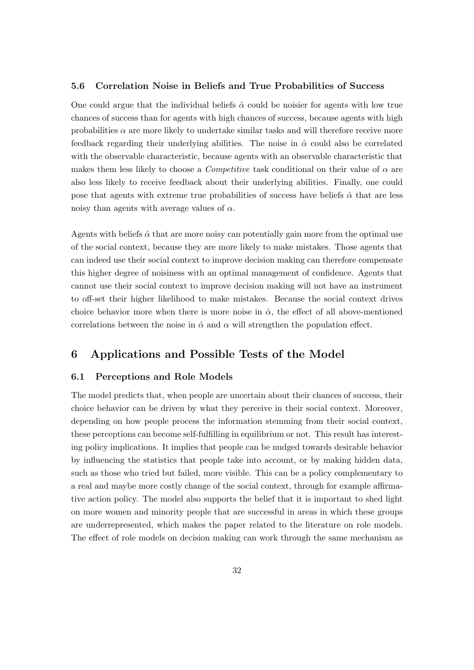### 5.6 Correlation Noise in Beliefs and True Probabilities of Success

One could argue that the individual beliefs  $\hat{\alpha}$  could be noisier for agents with low true chances of success than for agents with high chances of success, because agents with high probabilities  $\alpha$  are more likely to undertake similar tasks and will therefore receive more feedback regarding their underlying abilities. The noise in  $\hat{\alpha}$  could also be correlated with the observable characteristic, because agents with an observable characteristic that makes them less likely to choose a *Competitive* task conditional on their value of  $\alpha$  are also less likely to receive feedback about their underlying abilities. Finally, one could pose that agents with extreme true probabilities of success have beliefs  $\hat{\alpha}$  that are less noisy than agents with average values of  $\alpha$ .

Agents with beliefs  $\hat{\alpha}$  that are more noisy can potentially gain more from the optimal use of the social context, because they are more likely to make mistakes. Those agents that can indeed use their social context to improve decision making can therefore compensate this higher degree of noisiness with an optimal management of confidence. Agents that cannot use their social context to improve decision making will not have an instrument to off-set their higher likelihood to make mistakes. Because the social context drives choice behavior more when there is more noise in  $\hat{\alpha}$ , the effect of all above-mentioned correlations between the noise in  $\hat{\alpha}$  and  $\alpha$  will strengthen the population effect.

# 6 Applications and Possible Tests of the Model

### 6.1 Perceptions and Role Models

The model predicts that, when people are uncertain about their chances of success, their choice behavior can be driven by what they perceive in their social context. Moreover, depending on how people process the information stemming from their social context, these perceptions can become self-fulfilling in equilibrium or not. This result has interesting policy implications. It implies that people can be nudged towards desirable behavior by influencing the statistics that people take into account, or by making hidden data, such as those who tried but failed, more visible. This can be a policy complementary to a real and maybe more costly change of the social context, through for example affirmative action policy. The model also supports the belief that it is important to shed light on more women and minority people that are successful in areas in which these groups are underrepresented, which makes the paper related to the literature on role models. The effect of role models on decision making can work through the same mechanism as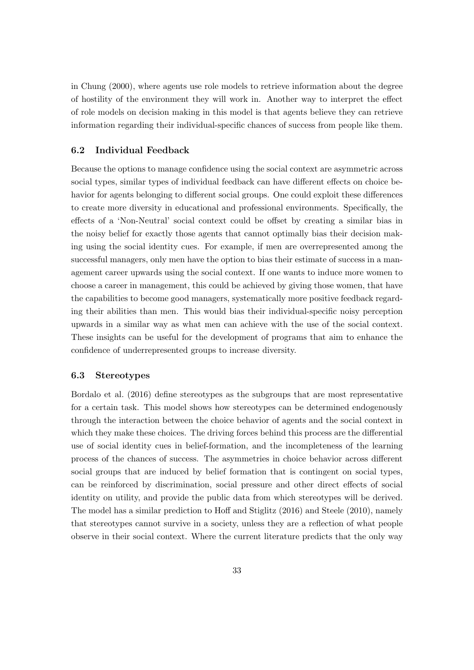in Chung (2000), where agents use role models to retrieve information about the degree of hostility of the environment they will work in. Another way to interpret the effect of role models on decision making in this model is that agents believe they can retrieve information regarding their individual-specific chances of success from people like them.

#### 6.2 Individual Feedback

Because the options to manage confidence using the social context are asymmetric across social types, similar types of individual feedback can have different effects on choice behavior for agents belonging to different social groups. One could exploit these differences to create more diversity in educational and professional environments. Specifically, the effects of a 'Non-Neutral' social context could be offset by creating a similar bias in the noisy belief for exactly those agents that cannot optimally bias their decision making using the social identity cues. For example, if men are overrepresented among the successful managers, only men have the option to bias their estimate of success in a management career upwards using the social context. If one wants to induce more women to choose a career in management, this could be achieved by giving those women, that have the capabilities to become good managers, systematically more positive feedback regarding their abilities than men. This would bias their individual-specific noisy perception upwards in a similar way as what men can achieve with the use of the social context. These insights can be useful for the development of programs that aim to enhance the confidence of underrepresented groups to increase diversity.

### 6.3 Stereotypes

Bordalo et al. (2016) define stereotypes as the subgroups that are most representative for a certain task. This model shows how stereotypes can be determined endogenously through the interaction between the choice behavior of agents and the social context in which they make these choices. The driving forces behind this process are the differential use of social identity cues in belief-formation, and the incompleteness of the learning process of the chances of success. The asymmetries in choice behavior across different social groups that are induced by belief formation that is contingent on social types, can be reinforced by discrimination, social pressure and other direct effects of social identity on utility, and provide the public data from which stereotypes will be derived. The model has a similar prediction to Hoff and Stiglitz (2016) and Steele (2010), namely that stereotypes cannot survive in a society, unless they are a reflection of what people observe in their social context. Where the current literature predicts that the only way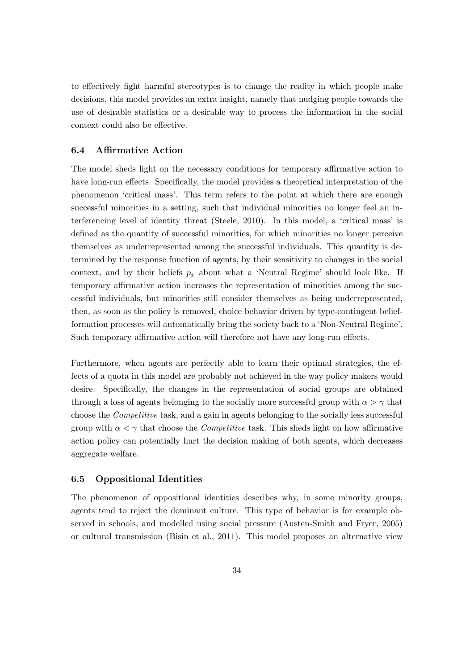to effectively fight harmful stereotypes is to change the reality in which people make decisions, this model provides an extra insight, namely that nudging people towards the use of desirable statistics or a desirable way to process the information in the social context could also be effective.

### 6.4 Affirmative Action

The model sheds light on the necessary conditions for temporary affirmative action to have long-run effects. Specifically, the model provides a theoretical interpretation of the phenomenon 'critical mass'. This term refers to the point at which there are enough successful minorities in a setting, such that individual minorities no longer feel an interferencing level of identity threat (Steele, 2010). In this model, a 'critical mass' is defined as the quantity of successful minorities, for which minorities no longer perceive themselves as underrepresented among the successful individuals. This quantity is determined by the response function of agents, by their sensitivity to changes in the social context, and by their beliefs  $p_x$  about what a 'Neutral Regime' should look like. If temporary affirmative action increases the representation of minorities among the successful individuals, but minorities still consider themselves as being underrepresented, then, as soon as the policy is removed, choice behavior driven by type-contingent beliefformation processes will automatically bring the society back to a 'Non-Neutral Regime'. Such temporary affirmative action will therefore not have any long-run effects.

Furthermore, when agents are perfectly able to learn their optimal strategies, the effects of a quota in this model are probably not achieved in the way policy makers would desire. Specifically, the changes in the representation of social groups are obtained through a loss of agents belonging to the socially more successful group with  $\alpha > \gamma$  that choose the Competitive task, and a gain in agents belonging to the socially less successful group with  $\alpha < \gamma$  that choose the *Competitive* task. This sheds light on how affirmative action policy can potentially hurt the decision making of both agents, which decreases aggregate welfare.

### 6.5 Oppositional Identities

The phenomenon of oppositional identities describes why, in some minority groups, agents tend to reject the dominant culture. This type of behavior is for example observed in schools, and modelled using social pressure (Austen-Smith and Fryer, 2005) or cultural transmission (Bisin et al., 2011). This model proposes an alternative view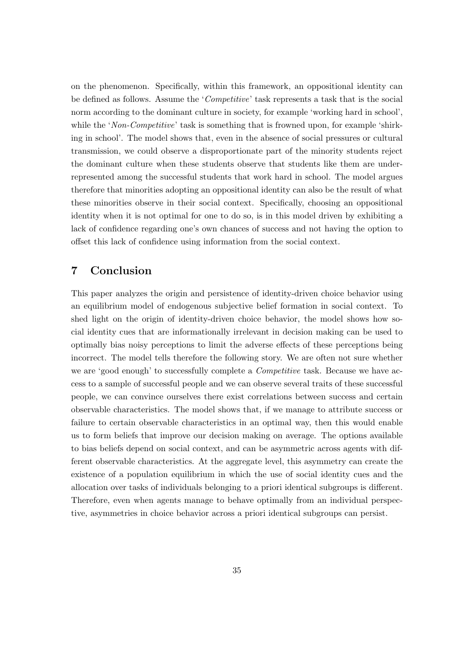on the phenomenon. Specifically, within this framework, an oppositional identity can be defined as follows. Assume the 'Competitive' task represents a task that is the social norm according to the dominant culture in society, for example 'working hard in school', while the 'Non-Competitive' task is something that is frowned upon, for example 'shirking in school'. The model shows that, even in the absence of social pressures or cultural transmission, we could observe a disproportionate part of the minority students reject the dominant culture when these students observe that students like them are underrepresented among the successful students that work hard in school. The model argues therefore that minorities adopting an oppositional identity can also be the result of what these minorities observe in their social context. Specifically, choosing an oppositional identity when it is not optimal for one to do so, is in this model driven by exhibiting a lack of confidence regarding one's own chances of success and not having the option to offset this lack of confidence using information from the social context.

# 7 Conclusion

This paper analyzes the origin and persistence of identity-driven choice behavior using an equilibrium model of endogenous subjective belief formation in social context. To shed light on the origin of identity-driven choice behavior, the model shows how social identity cues that are informationally irrelevant in decision making can be used to optimally bias noisy perceptions to limit the adverse effects of these perceptions being incorrect. The model tells therefore the following story. We are often not sure whether we are 'good enough' to successfully complete a *Competitive* task. Because we have access to a sample of successful people and we can observe several traits of these successful people, we can convince ourselves there exist correlations between success and certain observable characteristics. The model shows that, if we manage to attribute success or failure to certain observable characteristics in an optimal way, then this would enable us to form beliefs that improve our decision making on average. The options available to bias beliefs depend on social context, and can be asymmetric across agents with different observable characteristics. At the aggregate level, this asymmetry can create the existence of a population equilibrium in which the use of social identity cues and the allocation over tasks of individuals belonging to a priori identical subgroups is different. Therefore, even when agents manage to behave optimally from an individual perspective, asymmetries in choice behavior across a priori identical subgroups can persist.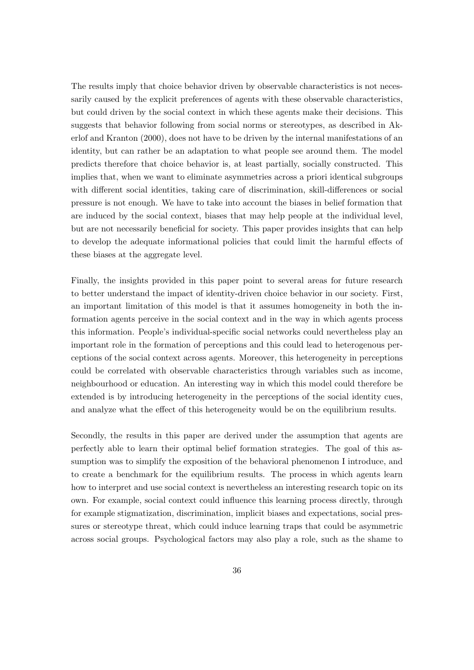The results imply that choice behavior driven by observable characteristics is not necessarily caused by the explicit preferences of agents with these observable characteristics, but could driven by the social context in which these agents make their decisions. This suggests that behavior following from social norms or stereotypes, as described in Akerlof and Kranton (2000), does not have to be driven by the internal manifestations of an identity, but can rather be an adaptation to what people see around them. The model predicts therefore that choice behavior is, at least partially, socially constructed. This implies that, when we want to eliminate asymmetries across a priori identical subgroups with different social identities, taking care of discrimination, skill-differences or social pressure is not enough. We have to take into account the biases in belief formation that are induced by the social context, biases that may help people at the individual level, but are not necessarily beneficial for society. This paper provides insights that can help to develop the adequate informational policies that could limit the harmful effects of these biases at the aggregate level.

Finally, the insights provided in this paper point to several areas for future research to better understand the impact of identity-driven choice behavior in our society. First, an important limitation of this model is that it assumes homogeneity in both the information agents perceive in the social context and in the way in which agents process this information. People's individual-specific social networks could nevertheless play an important role in the formation of perceptions and this could lead to heterogenous perceptions of the social context across agents. Moreover, this heterogeneity in perceptions could be correlated with observable characteristics through variables such as income, neighbourhood or education. An interesting way in which this model could therefore be extended is by introducing heterogeneity in the perceptions of the social identity cues, and analyze what the effect of this heterogeneity would be on the equilibrium results.

Secondly, the results in this paper are derived under the assumption that agents are perfectly able to learn their optimal belief formation strategies. The goal of this assumption was to simplify the exposition of the behavioral phenomenon I introduce, and to create a benchmark for the equilibrium results. The process in which agents learn how to interpret and use social context is nevertheless an interesting research topic on its own. For example, social context could influence this learning process directly, through for example stigmatization, discrimination, implicit biases and expectations, social pressures or stereotype threat, which could induce learning traps that could be asymmetric across social groups. Psychological factors may also play a role, such as the shame to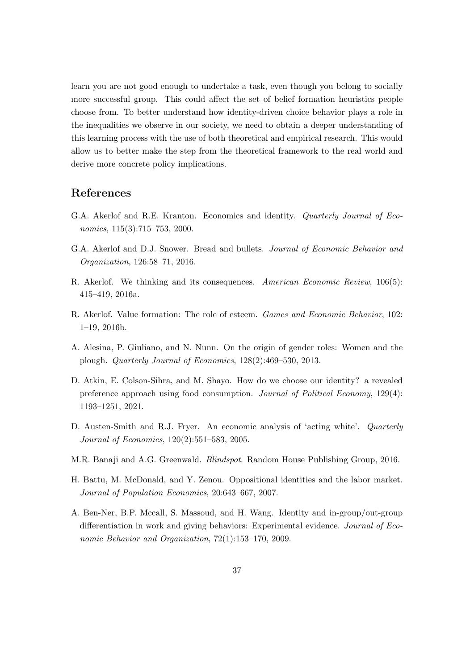learn you are not good enough to undertake a task, even though you belong to socially more successful group. This could affect the set of belief formation heuristics people choose from. To better understand how identity-driven choice behavior plays a role in the inequalities we observe in our society, we need to obtain a deeper understanding of this learning process with the use of both theoretical and empirical research. This would allow us to better make the step from the theoretical framework to the real world and derive more concrete policy implications.

# References

- G.A. Akerlof and R.E. Kranton. Economics and identity. *Quarterly Journal of Eco*nomics, 115(3):715–753, 2000.
- G.A. Akerlof and D.J. Snower. Bread and bullets. Journal of Economic Behavior and Organization, 126:58–71, 2016.
- R. Akerlof. We thinking and its consequences. American Economic Review, 106(5): 415–419, 2016a.
- R. Akerlof. Value formation: The role of esteem. Games and Economic Behavior, 102: 1–19, 2016b.
- A. Alesina, P. Giuliano, and N. Nunn. On the origin of gender roles: Women and the plough. Quarterly Journal of Economics, 128(2):469–530, 2013.
- D. Atkin, E. Colson-Sihra, and M. Shayo. How do we choose our identity? a revealed preference approach using food consumption. Journal of Political Economy, 129(4): 1193–1251, 2021.
- D. Austen-Smith and R.J. Fryer. An economic analysis of 'acting white'. Quarterly Journal of Economics, 120(2):551–583, 2005.
- M.R. Banaji and A.G. Greenwald. Blindspot. Random House Publishing Group, 2016.
- H. Battu, M. McDonald, and Y. Zenou. Oppositional identities and the labor market. Journal of Population Economics, 20:643–667, 2007.
- A. Ben-Ner, B.P. Mccall, S. Massoud, and H. Wang. Identity and in-group/out-group differentiation in work and giving behaviors: Experimental evidence. Journal of Economic Behavior and Organization, 72(1):153–170, 2009.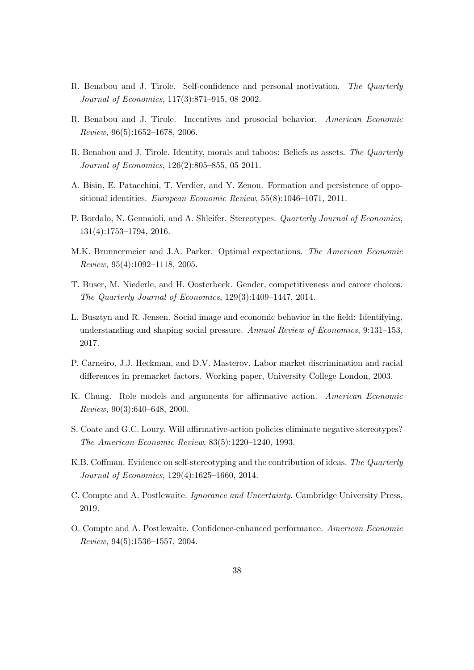- R. Benabou and J. Tirole. Self-confidence and personal motivation. The Quarterly Journal of Economics, 117(3):871–915, 08 2002.
- R. Benabou and J. Tirole. Incentives and prosocial behavior. American Economic Review, 96(5):1652–1678, 2006.
- R. Benabou and J. Tirole. Identity, morals and taboos: Beliefs as assets. The Quarterly Journal of Economics, 126(2):805–855, 05 2011.
- A. Bisin, E. Patacchini, T. Verdier, and Y. Zenou. Formation and persistence of oppositional identities. European Economic Review, 55(8):1046–1071, 2011.
- P. Bordalo, N. Gennaioli, and A. Shleifer. Stereotypes. *Quarterly Journal of Economics*, 131(4):1753–1794, 2016.
- M.K. Brunnermeier and J.A. Parker. Optimal expectations. The American Economic Review, 95(4):1092–1118, 2005.
- T. Buser, M. Niederle, and H. Oosterbeek. Gender, competitiveness and career choices. The Quarterly Journal of Economics, 129(3):1409–1447, 2014.
- L. Busztyn and R. Jensen. Social image and economic behavior in the field: Identifying, understanding and shaping social pressure. Annual Review of Economics, 9:131–153, 2017.
- P. Carneiro, J.J. Heckman, and D.V. Masterov. Labor market discrimination and racial differences in premarket factors. Working paper, University College London, 2003.
- K. Chung. Role models and arguments for affirmative action. American Economic Review, 90(3):640–648, 2000.
- S. Coate and G.C. Loury. Will affirmative-action policies eliminate negative stereotypes? The American Economic Review, 83(5):1220–1240, 1993.
- K.B. Coffman. Evidence on self-stereotyping and the contribution of ideas. The Quarterly Journal of Economics, 129(4):1625–1660, 2014.
- C. Compte and A. Postlewaite. Ignorance and Uncertainty. Cambridge University Press, 2019.
- O. Compte and A. Postlewaite. Confidence-enhanced performance. American Economic Review, 94(5):1536–1557, 2004.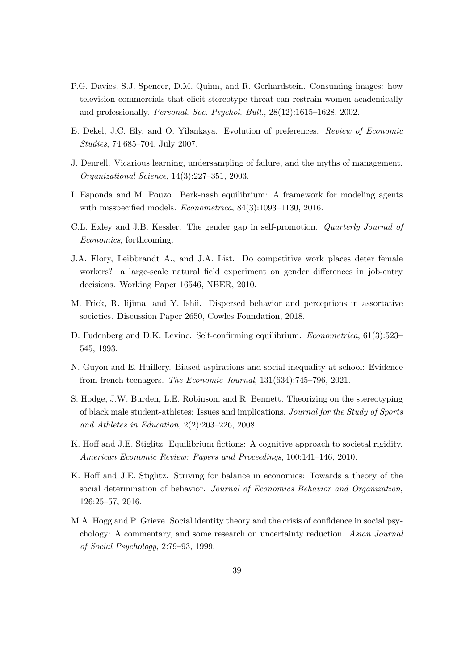- P.G. Davies, S.J. Spencer, D.M. Quinn, and R. Gerhardstein. Consuming images: how television commercials that elicit stereotype threat can restrain women academically and professionally. Personal. Soc. Psychol. Bull., 28(12):1615–1628, 2002.
- E. Dekel, J.C. Ely, and O. Yilankaya. Evolution of preferences. Review of Economic Studies, 74:685–704, July 2007.
- J. Denrell. Vicarious learning, undersampling of failure, and the myths of management. Organizational Science, 14(3):227–351, 2003.
- I. Esponda and M. Pouzo. Berk-nash equilibrium: A framework for modeling agents with misspecified models. Econometrica, 84(3):1093–1130, 2016.
- C.L. Exley and J.B. Kessler. The gender gap in self-promotion. Quarterly Journal of Economics, forthcoming.
- J.A. Flory, Leibbrandt A., and J.A. List. Do competitive work places deter female workers? a large-scale natural field experiment on gender differences in job-entry decisions. Working Paper 16546, NBER, 2010.
- M. Frick, R. Iijima, and Y. Ishii. Dispersed behavior and perceptions in assortative societies. Discussion Paper 2650, Cowles Foundation, 2018.
- D. Fudenberg and D.K. Levine. Self-confirming equilibrium. Econometrica, 61(3):523– 545, 1993.
- N. Guyon and E. Huillery. Biased aspirations and social inequality at school: Evidence from french teenagers. The Economic Journal, 131(634):745–796, 2021.
- S. Hodge, J.W. Burden, L.E. Robinson, and R. Bennett. Theorizing on the stereotyping of black male student-athletes: Issues and implications. Journal for the Study of Sports and Athletes in Education, 2(2):203–226, 2008.
- K. Hoff and J.E. Stiglitz. Equilibrium fictions: A cognitive approach to societal rigidity. American Economic Review: Papers and Proceedings, 100:141–146, 2010.
- K. Hoff and J.E. Stiglitz. Striving for balance in economics: Towards a theory of the social determination of behavior. Journal of Economics Behavior and Organization, 126:25–57, 2016.
- M.A. Hogg and P. Grieve. Social identity theory and the crisis of confidence in social psychology: A commentary, and some research on uncertainty reduction. Asian Journal of Social Psychology, 2:79–93, 1999.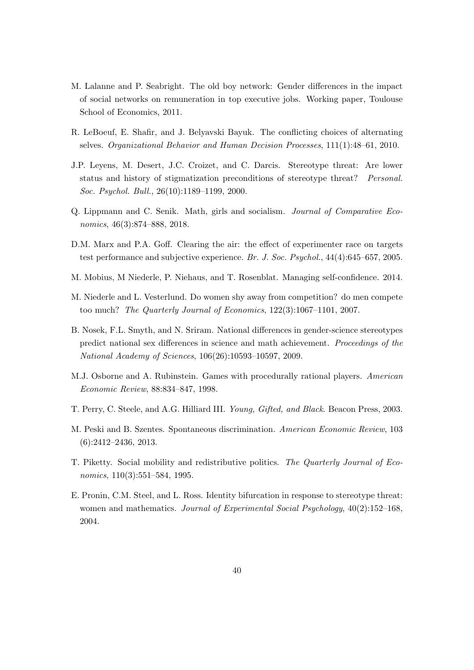- M. Lalanne and P. Seabright. The old boy network: Gender differences in the impact of social networks on remuneration in top executive jobs. Working paper, Toulouse School of Economics, 2011.
- R. LeBoeuf, E. Shafir, and J. Belyavski Bayuk. The conflicting choices of alternating selves. Organizational Behavior and Human Decision Processes, 111(1):48–61, 2010.
- J.P. Leyens, M. Desert, J.C. Croizet, and C. Darcis. Stereotype threat: Are lower status and history of stigmatization preconditions of stereotype threat? Personal. Soc. Psychol. Bull., 26(10):1189–1199, 2000.
- Q. Lippmann and C. Senik. Math, girls and socialism. Journal of Comparative Economics, 46(3):874–888, 2018.
- D.M. Marx and P.A. Goff. Clearing the air: the effect of experimenter race on targets test performance and subjective experience. Br. J. Soc. Psychol., 44(4):645–657, 2005.
- M. Mobius, M Niederle, P. Niehaus, and T. Rosenblat. Managing self-confidence. 2014.
- M. Niederle and L. Vesterlund. Do women shy away from competition? do men compete too much? The Quarterly Journal of Economics, 122(3):1067–1101, 2007.
- B. Nosek, F.L. Smyth, and N. Sriram. National differences in gender-science stereotypes predict national sex differences in science and math achievement. Proceedings of the National Academy of Sciences, 106(26):10593–10597, 2009.
- M.J. Osborne and A. Rubinstein. Games with procedurally rational players. American Economic Review, 88:834–847, 1998.
- T. Perry, C. Steele, and A.G. Hilliard III. Young, Gifted, and Black. Beacon Press, 2003.
- M. Peski and B. Szentes. Spontaneous discrimination. American Economic Review, 103 (6):2412–2436, 2013.
- T. Piketty. Social mobility and redistributive politics. The Quarterly Journal of Economics, 110(3):551–584, 1995.
- E. Pronin, C.M. Steel, and L. Ross. Identity bifurcation in response to stereotype threat: women and mathematics. Journal of Experimental Social Psychology,  $40(2):152-168$ , 2004.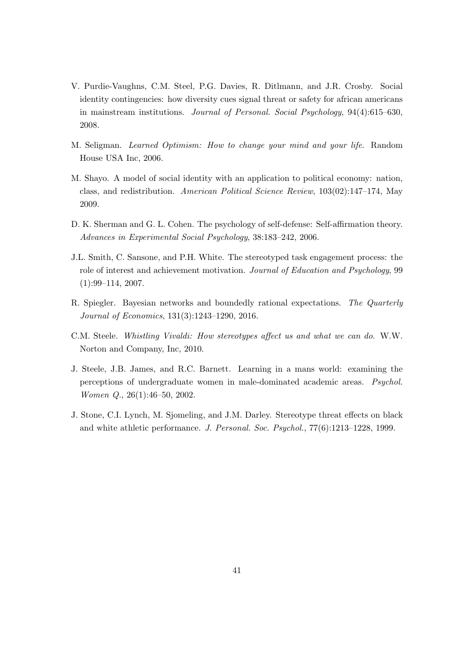- V. Purdie-Vaughns, C.M. Steel, P.G. Davies, R. Ditlmann, and J.R. Crosby. Social identity contingencies: how diversity cues signal threat or safety for african americans in mainstream institutions. Journal of Personal. Social Psychology, 94(4):615–630, 2008.
- M. Seligman. Learned Optimism: How to change your mind and your life. Random House USA Inc, 2006.
- M. Shayo. A model of social identity with an application to political economy: nation, class, and redistribution. American Political Science Review, 103(02):147–174, May 2009.
- D. K. Sherman and G. L. Cohen. The psychology of self-defense: Self-affirmation theory. Advances in Experimental Social Psychology, 38:183–242, 2006.
- J.L. Smith, C. Sansone, and P.H. White. The stereotyped task engagement process: the role of interest and achievement motivation. Journal of Education and Psychology, 99 (1):99–114, 2007.
- R. Spiegler. Bayesian networks and boundedly rational expectations. The Quarterly Journal of Economics, 131(3):1243–1290, 2016.
- C.M. Steele. Whistling Vivaldi: How stereotypes affect us and what we can do. W.W. Norton and Company, Inc, 2010.
- J. Steele, J.B. James, and R.C. Barnett. Learning in a mans world: examining the perceptions of undergraduate women in male-dominated academic areas. Psychol. Women Q., 26(1):46–50, 2002.
- J. Stone, C.I. Lynch, M. Sjomeling, and J.M. Darley. Stereotype threat effects on black and white athletic performance. J. Personal. Soc. Psychol., 77(6):1213–1228, 1999.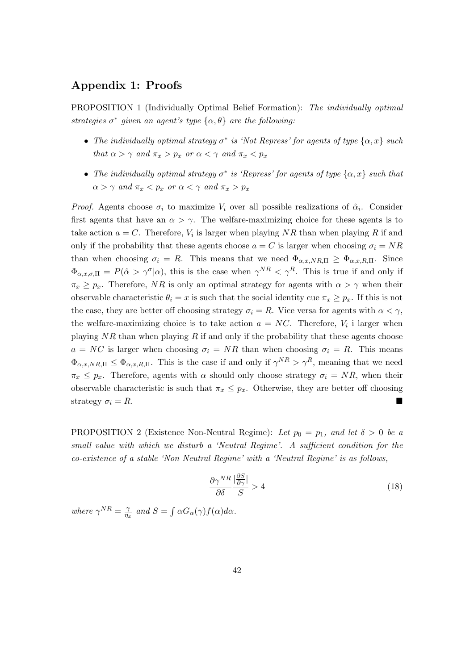# Appendix 1: Proofs

PROPOSITION 1 (Individually Optimal Belief Formation): The individually optimal strategies  $\sigma^*$  given an agent's type  $\{\alpha, \theta\}$  are the following:

- The individually optimal strategy  $\sigma^*$  is 'Not Repress' for agents of type  $\{\alpha, x\}$  such that  $\alpha > \gamma$  and  $\pi_x > p_x$  or  $\alpha < \gamma$  and  $\pi_x < p_x$
- The individually optimal strategy  $\sigma^*$  is 'Repress' for agents of type  $\{\alpha, x\}$  such that  $\alpha > \gamma$  and  $\pi_x < p_x$  or  $\alpha < \gamma$  and  $\pi_x > p_x$

*Proof.* Agents choose  $\sigma_i$  to maximize  $V_i$  over all possible realizations of  $\hat{\alpha}_i$ . Consider first agents that have an  $\alpha > \gamma$ . The welfare-maximizing choice for these agents is to take action  $a = C$ . Therefore,  $V_i$  is larger when playing NR than when playing R if and only if the probability that these agents choose  $a = C$  is larger when choosing  $\sigma_i = NR$ than when choosing  $\sigma_i = R$ . This means that we need  $\Phi_{\alpha,x,NR,\Pi} \ge \Phi_{\alpha,x,R,\Pi}$ . Since  $\Phi_{\alpha,x,\sigma,\Pi} = P(\hat{\alpha} > \gamma^{\sigma}|\alpha)$ , this is the case when  $\gamma^{NR} < \gamma^R$ . This is true if and only if  $\pi_x \geq p_x$ . Therefore, NR is only an optimal strategy for agents with  $\alpha > \gamma$  when their observable characteristic  $\theta_i = x$  is such that the social identity cue  $\pi_x \geq p_x$ . If this is not the case, they are better off choosing strategy  $\sigma_i = R$ . Vice versa for agents with  $\alpha < \gamma$ , the welfare-maximizing choice is to take action  $a = NC$ . Therefore,  $V_i$  i larger when playing  $NR$  than when playing  $R$  if and only if the probability that these agents choose  $a = NC$  is larger when choosing  $\sigma_i = NR$  than when choosing  $\sigma_i = R$ . This means  $\Phi_{\alpha,x,NR,\Pi} \leq \Phi_{\alpha,x,R,\Pi}$ . This is the case if and only if  $\gamma^{NR} > \gamma^R$ , meaning that we need  $\pi_x \leq p_x$ . Therefore, agents with  $\alpha$  should only choose strategy  $\sigma_i = NR$ , when their observable characteristic is such that  $\pi_x \leq p_x$ . Otherwise, they are better off choosing strategy  $\sigma_i = R$ .

PROPOSITION 2 (Existence Non-Neutral Regime): Let  $p_0 = p_1$ , and let  $\delta > 0$  be a small value with which we disturb a 'Neutral Regime'. A sufficient condition for the co-existence of a stable 'Non Neutral Regime' with a 'Neutral Regime' is as follows,

$$
\frac{\partial \gamma^{NR}}{\partial \delta} \frac{|\frac{\partial S}{\partial \gamma}|}{S} > 4
$$
\n(18)

where  $\gamma^{NR} = \frac{\gamma}{n}$  $\frac{\gamma}{\eta_x}$  and  $S = \int \alpha G_\alpha(\gamma) f(\alpha) d\alpha$ .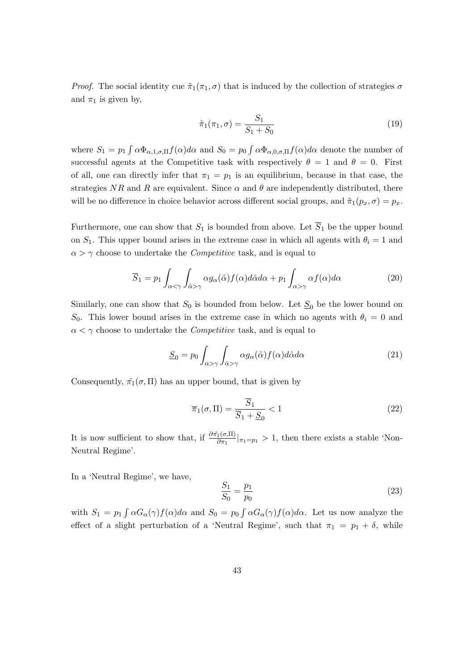*Proof.* The social identity cue  $\tilde{\pi}_1(\pi_1, \sigma)$  that is induced by the collection of strategies  $\sigma$ and  $\pi_1$  is given by,

$$
\tilde{\pi}_1(\pi_1, \sigma) = \frac{S_1}{S_1 + S_0} \tag{19}
$$

where  $S_1 = p_1 \int \alpha \Phi_{\alpha,1,\sigma,\Pi} f(\alpha) d\alpha$  and  $S_0 = p_0 \int \alpha \Phi_{\alpha,0,\sigma,\Pi} f(\alpha) d\alpha$  denote the number of successful agents at the Competitive task with respectively  $\theta = 1$  and  $\theta = 0$ . First of all, one can directly infer that  $\pi_1 = p_1$  is an equilibrium, because in that case, the strategies NR and R are equivalent. Since  $\alpha$  and  $\theta$  are independently distributed, there will be no difference in choice behavior across different social groups, and  $\tilde{\pi}_1(p_x, \sigma) = p_x$ .

Furthermore, one can show that  $S_1$  is bounded from above. Let  $\overline{S}_1$  be the upper bound on  $S_1$ . This upper bound arises in the extreme case in which all agents with  $\theta_i = 1$  and  $\alpha > \gamma$  choose to undertake the *Competitive* task, and is equal to

$$
\overline{S}_1 = p_1 \int_{\alpha < \gamma} \int_{\hat{\alpha} > \gamma} \alpha g_{\alpha}(\hat{\alpha}) f(\alpha) d\hat{\alpha} d\alpha + p_1 \int_{\alpha > \gamma} \alpha f(\alpha) d\alpha \tag{20}
$$

Similarly, one can show that  $S_0$  is bounded from below. Let  $S_0$  be the lower bound on  $S_0$ . This lower bound arises in the extreme case in which no agents with  $\theta_i = 0$  and  $\alpha < \gamma$  choose to undertake the *Competitive* task, and is equal to

$$
\underline{S}_0 = p_0 \int_{\alpha > \gamma} \int_{\hat{\alpha} > \gamma} \alpha g_\alpha(\hat{\alpha}) f(\alpha) d\hat{\alpha} d\alpha \tag{21}
$$

Consequently,  $\tilde{\pi}_1(\sigma, \Pi)$  has an upper bound, that is given by

$$
\overline{\pi}_1(\sigma, \Pi) = \frac{\overline{S}_1}{\overline{S}_1 + \underline{S}_0} < 1\tag{22}
$$

It is now sufficient to show that, if  $\frac{\partial \tilde{\pi}_1(\sigma,\Pi)}{\partial \pi_1}|_{\pi_1=p_1} > 1$ , then there exists a stable 'Non-Neutral Regime'.

In a 'Neutral Regime', we have,

$$
\frac{S_1}{S_0} = \frac{p_1}{p_0} \tag{23}
$$

with  $S_1 = p_1 \int \alpha G_\alpha(\gamma) f(\alpha) d\alpha$  and  $S_0 = p_0 \int \alpha G_\alpha(\gamma) f(\alpha) d\alpha$ . Let us now analyze the effect of a slight perturbation of a 'Neutral Regime', such that  $\pi_1 = p_1 + \delta$ , while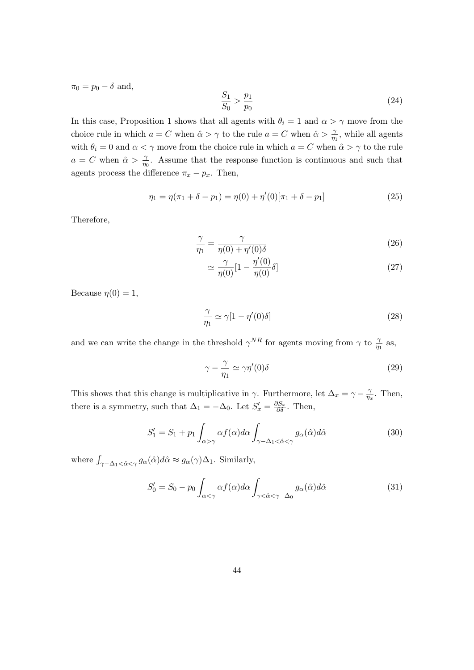$\pi_0 = p_0 - \delta$  and,

$$
\frac{S_1}{S_0} > \frac{p_1}{p_0} \tag{24}
$$

In this case, Proposition 1 shows that all agents with  $\theta_i = 1$  and  $\alpha > \gamma$  move from the choice rule in which  $a = C$  when  $\hat{\alpha} > \gamma$  to the rule  $a = C$  when  $\hat{\alpha} > \frac{\gamma}{\eta_1}$ , while all agents with  $\theta_i = 0$  and  $\alpha < \gamma$  move from the choice rule in which  $a = C$  when  $\hat{\alpha} > \gamma$  to the rule  $a = C$  when  $\hat{\alpha} > \frac{\gamma}{\eta_0}$ . Assume that the response function is continuous and such that agents process the difference  $\pi_x - p_x$ . Then,

$$
\eta_1 = \eta(\pi_1 + \delta - p_1) = \eta(0) + \eta'(0)[\pi_1 + \delta - p_1]
$$
\n(25)

Therefore,

$$
\frac{\gamma}{\eta_1} = \frac{\gamma}{\eta(0) + \eta'(0)\delta} \tag{26}
$$

$$
\simeq \frac{\gamma}{\eta(0)}[1 - \frac{\eta'(0)}{\eta(0)}\delta] \tag{27}
$$

Because  $\eta(0) = 1$ ,

$$
\frac{\gamma}{\eta_1} \simeq \gamma [1 - \eta'(0)\delta] \tag{28}
$$

and we can write the change in the threshold  $\gamma^{NR}$  for agents moving from  $\gamma$  to  $\frac{\gamma}{\eta_1}$  as,

$$
\gamma - \frac{\gamma}{\eta_1} \simeq \gamma \eta'(0)\delta \tag{29}
$$

This shows that this change is multiplicative in  $\gamma$ . Furthermore, let  $\Delta_x = \gamma - \frac{\gamma}{n}$  $\frac{\gamma}{\eta_x}$ . Then, there is a symmetry, such that  $\Delta_1 = -\Delta_0$ . Let  $S'_x = \frac{\partial S_x}{\partial \delta}$ . Then,

$$
S_1' = S_1 + p_1 \int_{\alpha > \gamma} \alpha f(\alpha) d\alpha \int_{\gamma - \Delta_1 < \hat{\alpha} < \gamma} g_{\alpha}(\hat{\alpha}) d\hat{\alpha}
$$
 (30)

where  $\int_{\gamma-\Delta_1<\hat{\alpha}<\gamma} g_{\alpha}(\hat{\alpha})d\hat{\alpha}\approx g_{\alpha}(\gamma)\Delta_1$ . Similarly,

$$
S_0' = S_0 - p_0 \int_{\alpha < \gamma} \alpha f(\alpha) d\alpha \int_{\gamma < \hat{\alpha} < \gamma - \Delta_0} g_{\alpha}(\hat{\alpha}) d\hat{\alpha}
$$
 (31)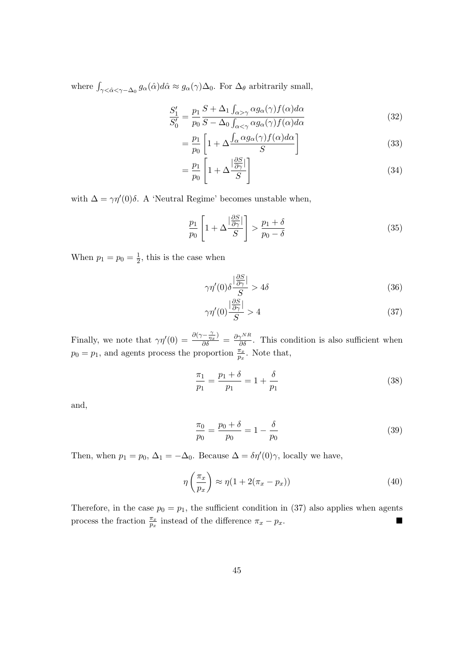where  $\int_{\gamma \leq \hat{\alpha} \leq \gamma - \Delta_0} g_{\alpha}(\hat{\alpha}) d\hat{\alpha} \approx g_{\alpha}(\gamma) \Delta_0$ . For  $\Delta_{\theta}$  arbitrarily small,

$$
\frac{S_1'}{S_0'} = \frac{p_1}{p_0} \frac{S + \Delta_1 \int_{\alpha > \gamma} \alpha g_\alpha(\gamma) f(\alpha) d\alpha}{S - \Delta_0 \int_{\alpha < \gamma} \alpha g_\alpha(\gamma) f(\alpha) d\alpha} \tag{32}
$$

$$
= \frac{p_1}{p_0} \left[ 1 + \Delta \frac{\int_{\alpha} \alpha g_{\alpha}(\gamma) f(\alpha) d\alpha}{S} \right]
$$
(33)

$$
=\frac{p_1}{p_0}\left[1+\Delta\frac{|\frac{\partial S}{\partial \gamma}|}{S}\right]
$$
\n(34)

with  $\Delta = \gamma \eta'(0) \delta$ . A 'Neutral Regime' becomes unstable when,

$$
\frac{p_1}{p_0} \left[ 1 + \Delta \frac{\left| \frac{\partial S}{\partial \gamma} \right|}{S} \right] > \frac{p_1 + \delta}{p_0 - \delta} \tag{35}
$$

When  $p_1 = p_0 = \frac{1}{2}$  $\frac{1}{2}$ , this is the case when

$$
\gamma \eta'(0) \delta \frac{|\frac{\partial S}{\partial \gamma}|}{S} > 4\delta \tag{36}
$$

$$
\gamma \eta'(0) \frac{\left|\frac{\partial S}{\partial \gamma}\right|}{S} > 4\tag{37}
$$

Finally, we note that  $\gamma\eta'(0) = \frac{\partial(\gamma - \frac{\gamma}{\eta_x})}{\partial \delta} = \frac{\partial \gamma^{NR}}{\partial \delta}$ . This condition is also sufficient when  $p_0 = p_1$ , and agents process the proportion  $\frac{\pi_x}{p_x}$ . Note that,

$$
\frac{\pi_1}{p_1} = \frac{p_1 + \delta}{p_1} = 1 + \frac{\delta}{p_1}
$$
\n(38)

and,

$$
\frac{\pi_0}{p_0} = \frac{p_0 + \delta}{p_0} = 1 - \frac{\delta}{p_0}
$$
\n(39)

Then, when  $p_1 = p_0$ ,  $\Delta_1 = -\Delta_0$ . Because  $\Delta = \delta \eta'(0) \gamma$ , locally we have,

$$
\eta\left(\frac{\pi_x}{p_x}\right) \approx \eta(1 + 2(\pi_x - p_x))\tag{40}
$$

Therefore, in the case  $p_0 = p_1$ , the sufficient condition in (37) also applies when agents process the fraction  $\frac{\pi_x}{p_x}$  instead of the difference  $\pi_x - p_x$ .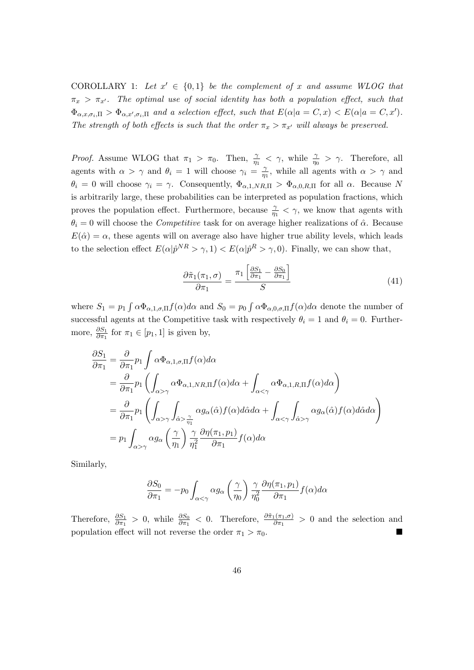COROLLARY 1: Let  $x' \in \{0,1\}$  be the complement of x and assume WLOG that  $\pi_x > \pi_{x'}$ . The optimal use of social identity has both a population effect, such that  $\Phi_{\alpha,x,\sigma_i,\Pi} > \Phi_{\alpha,x',\sigma_i,\Pi}$  and a selection effect, such that  $E(\alpha|a = C, x) < E(\alpha|a = C, x')$ . The strength of both effects is such that the order  $\pi_x > \pi_{x'}$  will always be preserved.

*Proof.* Assume WLOG that  $\pi_1 > \pi_0$ . Then,  $\frac{\gamma}{\eta_1} < \gamma$ , while  $\frac{\gamma}{\eta_0} > \gamma$ . Therefore, all agents with  $\alpha > \gamma$  and  $\theta_i = 1$  will choose  $\gamma_i = \frac{\gamma_i}{n_i}$  $\frac{\gamma}{\eta_1}$ , while all agents with  $\alpha > \gamma$  and  $\theta_i = 0$  will choose  $\gamma_i = \gamma$ . Consequently,  $\Phi_{\alpha,1,NR,\Pi} > \Phi_{\alpha,0,R,\Pi}$  for all  $\alpha$ . Because N is arbitrarily large, these probabilities can be interpreted as population fractions, which proves the population effect. Furthermore, because  $\frac{\gamma}{\eta_1} < \gamma$ , we know that agents with  $\theta_i = 0$  will choose the *Competitive* task for on average higher realizations of  $\hat{\alpha}$ . Because  $E(\hat{\alpha}) = \alpha$ , these agents will on average also have higher true ability levels, which leads to the selection effect  $E(\alpha|\hat{p}^{NR} > \gamma, 1) < E(\alpha|\hat{p}^{R} > \gamma, 0)$ . Finally, we can show that,

$$
\frac{\partial \tilde{\pi}_1(\pi_1, \sigma)}{\partial \pi_1} = \frac{\pi_1 \left[ \frac{\partial S_1}{\partial \pi_1} - \frac{\partial S_0}{\partial \pi_1} \right]}{S} \tag{41}
$$

where  $S_1 = p_1 \int \alpha \Phi_{\alpha,1,\sigma,\Pi} f(\alpha) d\alpha$  and  $S_0 = p_0 \int \alpha \Phi_{\alpha,0,\sigma,\Pi} f(\alpha) d\alpha$  denote the number of successful agents at the Competitive task with respectively  $\theta_i = 1$  and  $\theta_i = 0$ . Furthermore,  $\frac{\partial S_1}{\partial \pi_1}$  for  $\pi_1 \in [p_1, 1]$  is given by,

$$
\frac{\partial S_1}{\partial \pi_1} = \frac{\partial}{\partial \pi_1} p_1 \int \alpha \Phi_{\alpha,1,\sigma,\Pi} f(\alpha) d\alpha \n= \frac{\partial}{\partial \pi_1} p_1 \left( \int_{\alpha > \gamma} \alpha \Phi_{\alpha,1,NR,\Pi} f(\alpha) d\alpha + \int_{\alpha < \gamma} \alpha \Phi_{\alpha,1,R,\Pi} f(\alpha) d\alpha \right) \n= \frac{\partial}{\partial \pi_1} p_1 \left( \int_{\alpha > \gamma} \int_{\hat{\alpha} > \frac{\gamma}{\eta_1}} \alpha g_\alpha(\hat{\alpha}) f(\alpha) d\hat{\alpha} d\alpha + \int_{\alpha < \gamma} \int_{\hat{\alpha} > \gamma} \alpha g_\alpha(\hat{\alpha}) f(\alpha) d\hat{\alpha} d\alpha \right) \n= p_1 \int_{\alpha > \gamma} \alpha g_\alpha \left( \frac{\gamma}{\eta_1} \right) \frac{\gamma}{\eta_1^2} \frac{\partial \eta(\pi_1, p_1)}{\partial \pi_1} f(\alpha) d\alpha
$$

Similarly,

$$
\frac{\partial S_0}{\partial \pi_1} = -p_0 \int_{\alpha < \gamma} \alpha g_\alpha \left(\frac{\gamma}{\eta_0}\right) \frac{\gamma}{\eta_0^2} \frac{\partial \eta(\pi_1, p_1)}{\partial \pi_1} f(\alpha) d\alpha
$$

Therefore,  $\frac{\partial S_1}{\partial \pi_1} > 0$ , while  $\frac{\partial S_0}{\partial \pi_1} < 0$ . Therefore,  $\frac{\partial \tilde{\pi}_1(\pi_1,\sigma)}{\partial \pi_1} > 0$  and the selection and population effect will not reverse the order  $\pi_1 > \pi_0$ .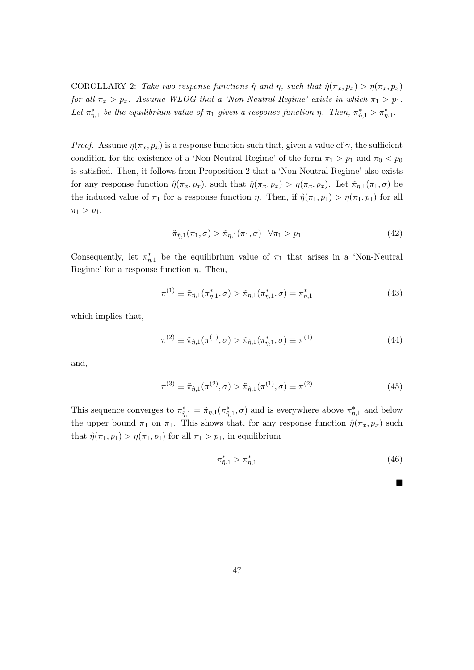COROLLARY 2: Take two response functions  $\hat{\eta}$  and  $\eta$ , such that  $\hat{\eta}(\pi_x, p_x) > \eta(\pi_x, p_x)$ for all  $\pi_x > p_x$ . Assume WLOG that a 'Non-Neutral Regime' exists in which  $\pi_1 > p_1$ . Let  $\pi_{\eta,1}^*$  be the equilibrium value of  $\pi_1$  given a response function  $\eta$ . Then,  $\pi_{\eta,1}^* > \pi_{\eta,1}^*$ .

*Proof.* Assume  $\eta(\pi_x, p_x)$  is a response function such that, given a value of  $\gamma$ , the sufficient condition for the existence of a 'Non-Neutral Regime' of the form  $\pi_1 > p_1$  and  $\pi_0 < p_0$ is satisfied. Then, it follows from Proposition 2 that a 'Non-Neutral Regime' also exists for any response function  $\hat{\eta}(\pi_x, p_x)$ , such that  $\hat{\eta}(\pi_x, p_x) > \eta(\pi_x, p_x)$ . Let  $\tilde{\pi}_{\eta,1}(\pi_1, \sigma)$  be the induced value of  $\pi_1$  for a response function  $\eta$ . Then, if  $\hat{\eta}(\pi_1, p_1) > \eta(\pi_1, p_1)$  for all  $\pi_1 > p_1$ ,

$$
\tilde{\pi}_{\hat{\eta},1}(\pi_1,\sigma) > \tilde{\pi}_{\eta,1}(\pi_1,\sigma) \quad \forall \pi_1 > p_1 \tag{42}
$$

Consequently, let  $\pi_{\eta,1}^*$  be the equilibrium value of  $\pi_1$  that arises in a 'Non-Neutral' Regime' for a response function  $\eta$ . Then,

$$
\pi^{(1)} \equiv \tilde{\pi}_{\hat{\eta},1}(\pi_{\eta,1}^*, \sigma) > \tilde{\pi}_{\eta,1}(\pi_{\eta,1}^*, \sigma) = \pi_{\eta,1}^* \tag{43}
$$

which implies that,

$$
\pi^{(2)} \equiv \tilde{\pi}_{\hat{\eta},1}(\pi^{(1)}, \sigma) > \tilde{\pi}_{\hat{\eta},1}(\pi_{\eta,1}^*, \sigma) \equiv \pi^{(1)} \tag{44}
$$

and,

$$
\pi^{(3)} \equiv \tilde{\pi}_{\hat{\eta},1}(\pi^{(2)}, \sigma) > \tilde{\pi}_{\hat{\eta},1}(\pi^{(1)}, \sigma) \equiv \pi^{(2)} \tag{45}
$$

This sequence converges to  $\pi_{\hat{\eta},1}^* = \tilde{\pi}_{\hat{\eta},1}(\pi_{\hat{\eta},1}^*, \sigma)$  and is everywhere above  $\pi_{\eta,1}^*$  and below the upper bound  $\bar{\pi}_1$  on  $\pi_1$ . This shows that, for any response function  $\hat{\eta}(\pi_x, p_x)$  such that  $\hat{\eta}(\pi_1, p_1) > \eta(\pi_1, p_1)$  for all  $\pi_1 > p_1$ , in equilibrium

$$
\pi_{\hat{\eta},1}^* > \pi_{\eta,1}^* \tag{46}
$$

 $\blacksquare$ 

| ۰ |  |
|---|--|
|   |  |